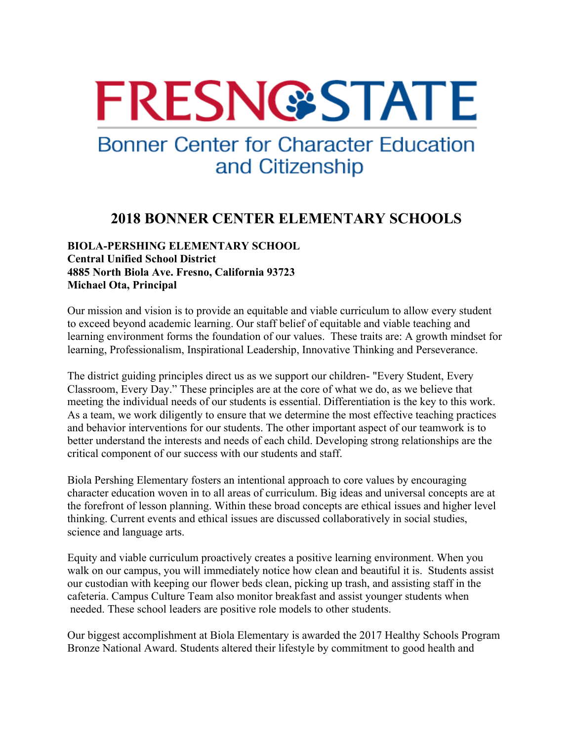# **FRESN@STATE**

## **Bonner Center for Character Education** and Citizenship

### **2018 BONNER CENTER ELEMENTARY SCHOOLS**

#### **BIOLA-PERSHING ELEMENTARY SCHOOL Central Unified School District 4885 North Biola Ave. Fresno, California 93723 Michael Ota, Principal**

Our mission and vision is to provide an equitable and viable curriculum to allow every student to exceed beyond academic learning. Our staff belief of equitable and viable teaching and learning environment forms the foundation of our values. These traits are: A growth mindset for learning, Professionalism, Inspirational Leadership, Innovative Thinking and Perseverance.

The district guiding principles direct us as we support our children- "Every Student, Every Classroom, Every Day." These principles are at the core of what we do, as we believe that meeting the individual needs of our students is essential. Differentiation is the key to this work. As a team, we work diligently to ensure that we determine the most effective teaching practices and behavior interventions for our students. The other important aspect of our teamwork is to better understand the interests and needs of each child. Developing strong relationships are the critical component of our success with our students and staff.

Biola Pershing Elementary fosters an intentional approach to core values by encouraging character education woven in to all areas of curriculum. Big ideas and universal concepts are at the forefront of lesson planning. Within these broad concepts are ethical issues and higher level thinking. Current events and ethical issues are discussed collaboratively in social studies, science and language arts.

Equity and viable curriculum proactively creates a positive learning environment. When you walk on our campus, you will immediately notice how clean and beautiful it is. Students assist our custodian with keeping our flower beds clean, picking up trash, and assisting staff in the cafeteria. Campus Culture Team also monitor breakfast and assist younger students when needed. These school leaders are positive role models to other students.

Our biggest accomplishment at Biola Elementary is awarded the 2017 Healthy Schools Program Bronze National Award. Students altered their lifestyle by commitment to good health and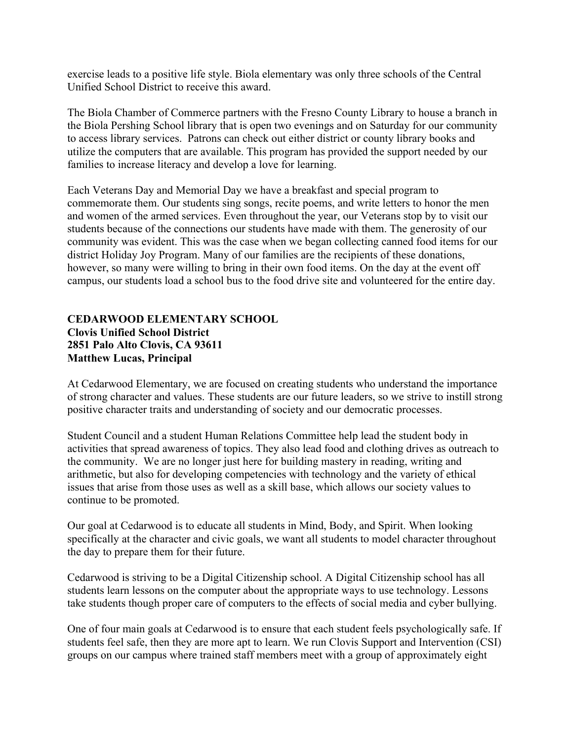exercise leads to a positive life style. Biola elementary was only three schools of the Central Unified School District to receive this award.

The Biola Chamber of Commerce partners with the Fresno County Library to house a branch in the Biola Pershing School library that is open two evenings and on Saturday for our community to access library services. Patrons can check out either district or county library books and utilize the computers that are available. This program has provided the support needed by our families to increase literacy and develop a love for learning.

Each Veterans Day and Memorial Day we have a breakfast and special program to commemorate them. Our students sing songs, recite poems, and write letters to honor the men and women of the armed services. Even throughout the year, our Veterans stop by to visit our students because of the connections our students have made with them. The generosity of our community was evident. This was the case when we began collecting canned food items for our district Holiday Joy Program. Many of our families are the recipients of these donations, however, so many were willing to bring in their own food items. On the day at the event off campus, our students load a school bus to the food drive site and volunteered for the entire day.

#### **CEDARWOOD ELEMENTARY SCHOOL Clovis Unified School District 2851 Palo Alto Clovis, CA 93611 Matthew Lucas, Principal**

At Cedarwood Elementary, we are focused on creating students who understand the importance of strong character and values. These students are our future leaders, so we strive to instill strong positive character traits and understanding of society and our democratic processes.

Student Council and a student Human Relations Committee help lead the student body in activities that spread awareness of topics. They also lead food and clothing drives as outreach to the community. We are no longer just here for building mastery in reading, writing and arithmetic, but also for developing competencies with technology and the variety of ethical issues that arise from those uses as well as a skill base, which allows our society values to continue to be promoted.

Our goal at Cedarwood is to educate all students in Mind, Body, and Spirit. When looking specifically at the character and civic goals, we want all students to model character throughout the day to prepare them for their future.

Cedarwood is striving to be a Digital Citizenship school. A Digital Citizenship school has all students learn lessons on the computer about the appropriate ways to use technology. Lessons take students though proper care of computers to the effects of social media and cyber bullying.

One of four main goals at Cedarwood is to ensure that each student feels psychologically safe. If students feel safe, then they are more apt to learn. We run Clovis Support and Intervention (CSI) groups on our campus where trained staff members meet with a group of approximately eight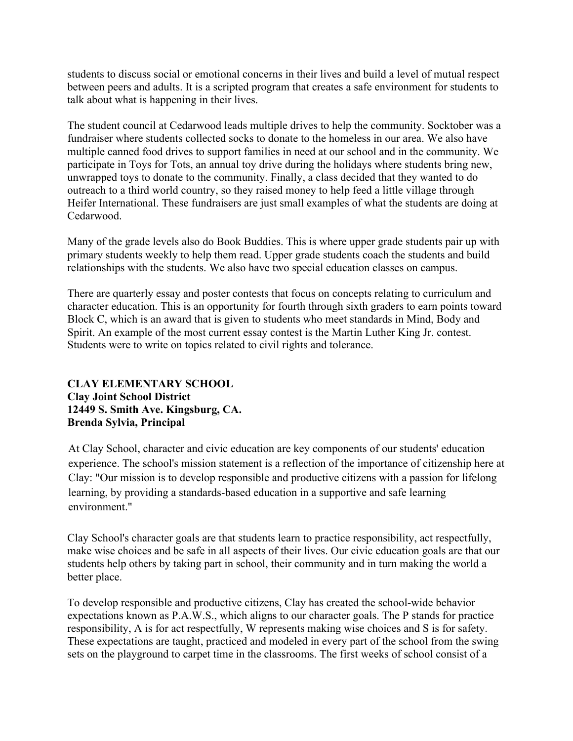students to discuss social or emotional concerns in their lives and build a level of mutual respect between peers and adults. It is a scripted program that creates a safe environment for students to talk about what is happening in their lives.

The student council at Cedarwood leads multiple drives to help the community. Socktober was a fundraiser where students collected socks to donate to the homeless in our area. We also have multiple canned food drives to support families in need at our school and in the community. We participate in Toys for Tots, an annual toy drive during the holidays where students bring new, unwrapped toys to donate to the community. Finally, a class decided that they wanted to do outreach to a third world country, so they raised money to help feed a little village through Heifer International. These fundraisers are just small examples of what the students are doing at Cedarwood.

Many of the grade levels also do Book Buddies. This is where upper grade students pair up with primary students weekly to help them read. Upper grade students coach the students and build relationships with the students. We also have two special education classes on campus.

There are quarterly essay and poster contests that focus on concepts relating to curriculum and character education. This is an opportunity for fourth through sixth graders to earn points toward Block C, which is an award that is given to students who meet standards in Mind, Body and Spirit. An example of the most current essay contest is the Martin Luther King Jr. contest. Students were to write on topics related to civil rights and tolerance.

#### **CLAY ELEMENTARY SCHOOL Clay Joint School District 12449 S. Smith Ave. Kingsburg, CA. Brenda Sylvia, Principal**

At Clay School, character and civic education are key components of our students' education experience. The school's mission statement is a reflection of the importance of citizenship here at Clay: "Our mission is to develop responsible and productive citizens with a passion for lifelong learning, by providing a standards-based education in a supportive and safe learning environment."

Clay School's character goals are that students learn to practice responsibility, act respectfully, make wise choices and be safe in all aspects of their lives. Our civic education goals are that our students help others by taking part in school, their community and in turn making the world a better place.

To develop responsible and productive citizens, Clay has created the school-wide behavior expectations known as P.A.W.S., which aligns to our character goals. The P stands for practice responsibility, A is for act respectfully, W represents making wise choices and S is for safety. These expectations are taught, practiced and modeled in every part of the school from the swing sets on the playground to carpet time in the classrooms. The first weeks of school consist of a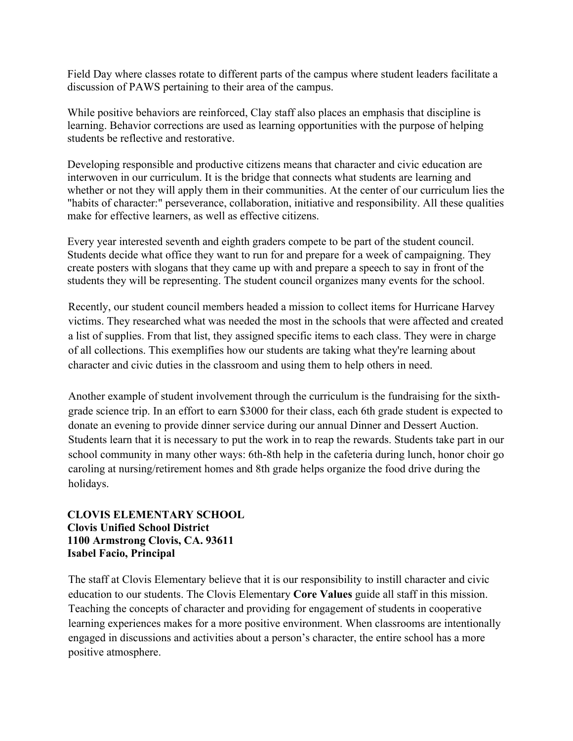Field Day where classes rotate to different parts of the campus where student leaders facilitate a discussion of PAWS pertaining to their area of the campus.

While positive behaviors are reinforced, Clay staff also places an emphasis that discipline is learning. Behavior corrections are used as learning opportunities with the purpose of helping students be reflective and restorative.

Developing responsible and productive citizens means that character and civic education are interwoven in our curriculum. It is the bridge that connects what students are learning and whether or not they will apply them in their communities. At the center of our curriculum lies the "habits of character:" perseverance, collaboration, initiative and responsibility. All these qualities make for effective learners, as well as effective citizens.

Every year interested seventh and eighth graders compete to be part of the student council. Students decide what office they want to run for and prepare for a week of campaigning. They create posters with slogans that they came up with and prepare a speech to say in front of the students they will be representing. The student council organizes many events for the school.

Recently, our student council members headed a mission to collect items for Hurricane Harvey victims. They researched what was needed the most in the schools that were affected and created a list of supplies. From that list, they assigned specific items to each class. They were in charge of all collections. This exemplifies how our students are taking what they're learning about character and civic duties in the classroom and using them to help others in need.

Another example of student involvement through the curriculum is the fundraising for the sixthgrade science trip. In an effort to earn \$3000 for their class, each 6th grade student is expected to donate an evening to provide dinner service during our annual Dinner and Dessert Auction. Students learn that it is necessary to put the work in to reap the rewards. Students take part in our school community in many other ways: 6th-8th help in the cafeteria during lunch, honor choir go caroling at nursing/retirement homes and 8th grade helps organize the food drive during the holidays.

#### **CLOVIS ELEMENTARY SCHOOL Clovis Unified School District 1100 Armstrong Clovis, CA. 93611 Isabel Facio, Principal**

The staff at Clovis Elementary believe that it is our responsibility to instill character and civic education to our students. The Clovis Elementary **Core Values** guide all staff in this mission. Teaching the concepts of character and providing for engagement of students in cooperative learning experiences makes for a more positive environment. When classrooms are intentionally engaged in discussions and activities about a person's character, the entire school has a more positive atmosphere.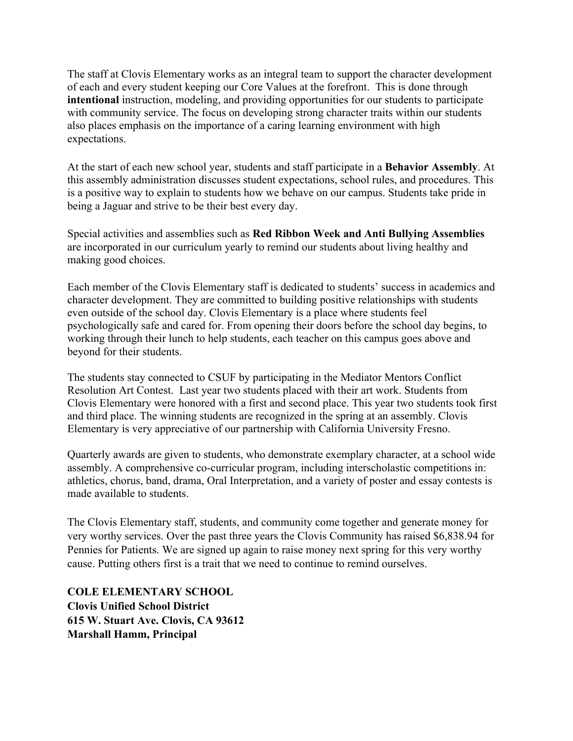The staff at Clovis Elementary works as an integral team to support the character development of each and every student keeping our Core Values at the forefront. This is done through **intentional** instruction, modeling, and providing opportunities for our students to participate with community service. The focus on developing strong character traits within our students also places emphasis on the importance of a caring learning environment with high expectations.

At the start of each new school year, students and staff participate in a **Behavior Assembly**. At this assembly administration discusses student expectations, school rules, and procedures. This is a positive way to explain to students how we behave on our campus. Students take pride in being a Jaguar and strive to be their best every day.

Special activities and assemblies such as **Red Ribbon Week and Anti Bullying Assemblies** are incorporated in our curriculum yearly to remind our students about living healthy and making good choices.

Each member of the Clovis Elementary staff is dedicated to students' success in academics and character development. They are committed to building positive relationships with students even outside of the school day. Clovis Elementary is a place where students feel psychologically safe and cared for. From opening their doors before the school day begins, to working through their lunch to help students, each teacher on this campus goes above and beyond for their students.

The students stay connected to CSUF by participating in the Mediator Mentors Conflict Resolution Art Contest. Last year two students placed with their art work. Students from Clovis Elementary were honored with a first and second place. This year two students took first and third place. The winning students are recognized in the spring at an assembly. Clovis Elementary is very appreciative of our partnership with California University Fresno.

Quarterly awards are given to students, who demonstrate exemplary character, at a school wide assembly. A comprehensive co-curricular program, including interscholastic competitions in: athletics, chorus, band, drama, Oral Interpretation, and a variety of poster and essay contests is made available to students.

The Clovis Elementary staff, students, and community come together and generate money for very worthy services. Over the past three years the Clovis Community has raised \$6,838.94 for Pennies for Patients. We are signed up again to raise money next spring for this very worthy cause. Putting others first is a trait that we need to continue to remind ourselves.

**COLE ELEMENTARY SCHOOL Clovis Unified School District 615 W. Stuart Ave. Clovis, CA 93612 Marshall Hamm, Principal**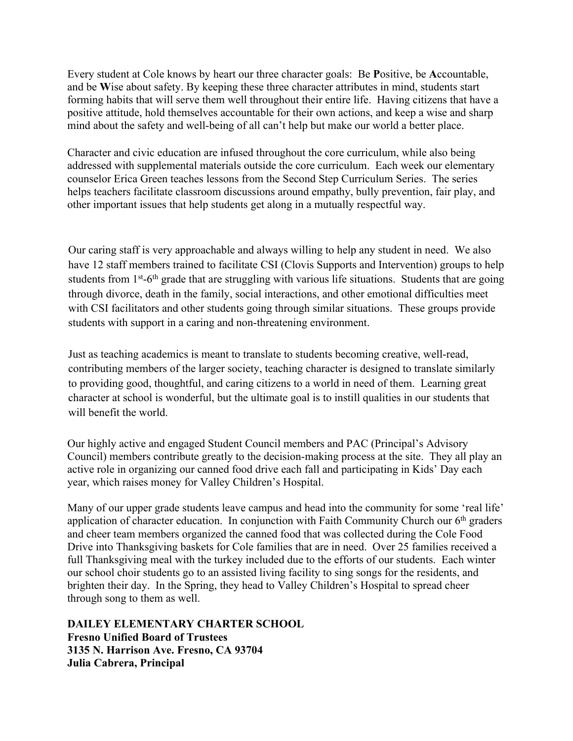Every student at Cole knows by heart our three character goals: Be **P**ositive, be **A**ccountable, and be **W**ise about safety. By keeping these three character attributes in mind, students start forming habits that will serve them well throughout their entire life. Having citizens that have a positive attitude, hold themselves accountable for their own actions, and keep a wise and sharp mind about the safety and well-being of all can't help but make our world a better place.

Character and civic education are infused throughout the core curriculum, while also being addressed with supplemental materials outside the core curriculum. Each week our elementary counselor Erica Green teaches lessons from the Second Step Curriculum Series. The series helps teachers facilitate classroom discussions around empathy, bully prevention, fair play, and other important issues that help students get along in a mutually respectful way.

Our caring staff is very approachable and always willing to help any student in need. We also have 12 staff members trained to facilitate CSI (Clovis Supports and Intervention) groups to help students from 1<sup>st</sup>-6<sup>th</sup> grade that are struggling with various life situations. Students that are going through divorce, death in the family, social interactions, and other emotional difficulties meet with CSI facilitators and other students going through similar situations. These groups provide students with support in a caring and non-threatening environment.

Just as teaching academics is meant to translate to students becoming creative, well-read, contributing members of the larger society, teaching character is designed to translate similarly to providing good, thoughtful, and caring citizens to a world in need of them. Learning great character at school is wonderful, but the ultimate goal is to instill qualities in our students that will benefit the world.

Our highly active and engaged Student Council members and PAC (Principal's Advisory Council) members contribute greatly to the decision-making process at the site. They all play an active role in organizing our canned food drive each fall and participating in Kids' Day each year, which raises money for Valley Children's Hospital.

Many of our upper grade students leave campus and head into the community for some 'real life' application of character education. In conjunction with Faith Community Church our  $6<sup>th</sup>$  graders and cheer team members organized the canned food that was collected during the Cole Food Drive into Thanksgiving baskets for Cole families that are in need. Over 25 families received a full Thanksgiving meal with the turkey included due to the efforts of our students. Each winter our school choir students go to an assisted living facility to sing songs for the residents, and brighten their day. In the Spring, they head to Valley Children's Hospital to spread cheer through song to them as well.

**DAILEY ELEMENTARY CHARTER SCHOOL Fresno Unified Board of Trustees 3135 N. Harrison Ave. Fresno, CA 93704 Julia Cabrera, Principal**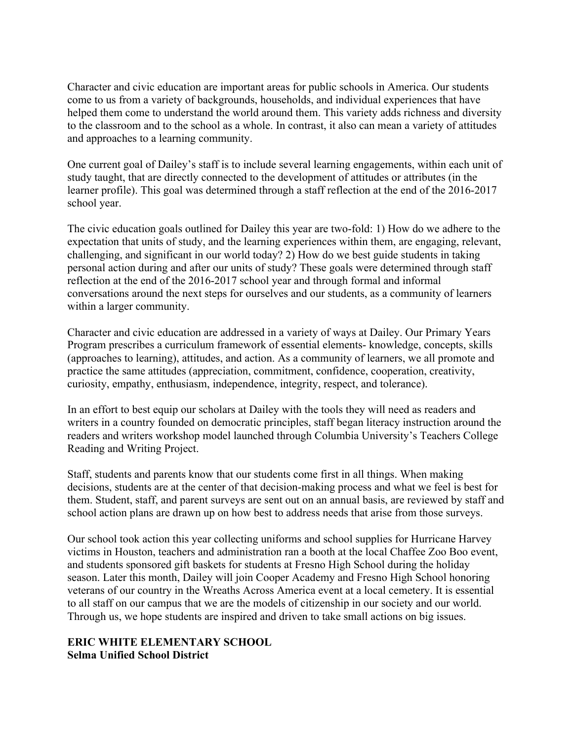Character and civic education are important areas for public schools in America. Our students come to us from a variety of backgrounds, households, and individual experiences that have helped them come to understand the world around them. This variety adds richness and diversity to the classroom and to the school as a whole. In contrast, it also can mean a variety of attitudes and approaches to a learning community.

One current goal of Dailey's staff is to include several learning engagements, within each unit of study taught, that are directly connected to the development of attitudes or attributes (in the learner profile). This goal was determined through a staff reflection at the end of the 2016-2017 school year.

The civic education goals outlined for Dailey this year are two-fold: 1) How do we adhere to the expectation that units of study, and the learning experiences within them, are engaging, relevant, challenging, and significant in our world today? 2) How do we best guide students in taking personal action during and after our units of study? These goals were determined through staff reflection at the end of the 2016-2017 school year and through formal and informal conversations around the next steps for ourselves and our students, as a community of learners within a larger community.

Character and civic education are addressed in a variety of ways at Dailey. Our Primary Years Program prescribes a curriculum framework of essential elements- knowledge, concepts, skills (approaches to learning), attitudes, and action. As a community of learners, we all promote and practice the same attitudes (appreciation, commitment, confidence, cooperation, creativity, curiosity, empathy, enthusiasm, independence, integrity, respect, and tolerance).

In an effort to best equip our scholars at Dailey with the tools they will need as readers and writers in a country founded on democratic principles, staff began literacy instruction around the readers and writers workshop model launched through Columbia University's Teachers College Reading and Writing Project.

Staff, students and parents know that our students come first in all things. When making decisions, students are at the center of that decision-making process and what we feel is best for them. Student, staff, and parent surveys are sent out on an annual basis, are reviewed by staff and school action plans are drawn up on how best to address needs that arise from those surveys.

Our school took action this year collecting uniforms and school supplies for Hurricane Harvey victims in Houston, teachers and administration ran a booth at the local Chaffee Zoo Boo event, and students sponsored gift baskets for students at Fresno High School during the holiday season. Later this month, Dailey will join Cooper Academy and Fresno High School honoring veterans of our country in the Wreaths Across America event at a local cemetery. It is essential to all staff on our campus that we are the models of citizenship in our society and our world. Through us, we hope students are inspired and driven to take small actions on big issues.

#### **ERIC WHITE ELEMENTARY SCHOOL Selma Unified School District**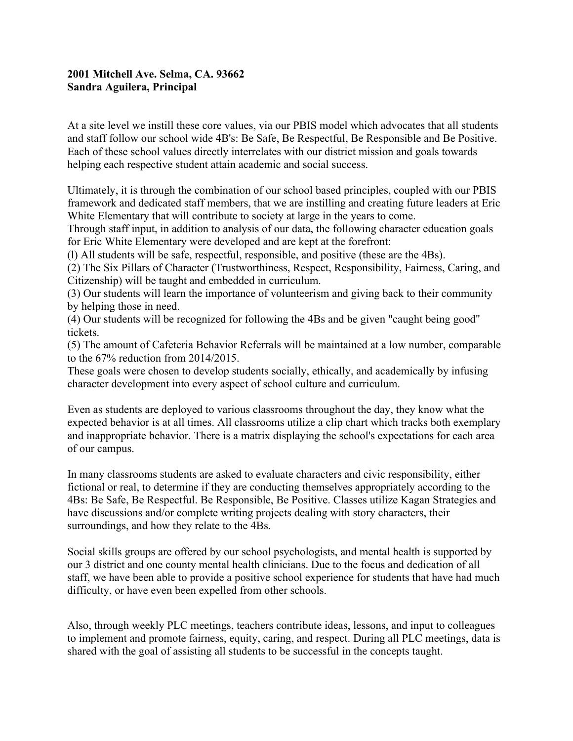#### **2001 Mitchell Ave. Selma, CA. 93662 Sandra Aguilera, Principal**

At a site level we instill these core values, via our PBIS model which advocates that all students and staff follow our school wide 4B's: Be Safe, Be Respectful, Be Responsible and Be Positive. Each of these school values directly interrelates with our district mission and goals towards helping each respective student attain academic and social success.

Ultimately, it is through the combination of our school based principles, coupled with our PBIS framework and dedicated staff members, that we are instilling and creating future leaders at Eric White Elementary that will contribute to society at large in the years to come.

Through staff input, in addition to analysis of our data, the following character education goals for Eric White Elementary were developed and are kept at the forefront:

(l) All students will be safe, respectful, responsible, and positive (these are the 4Bs).

(2) The Six Pillars of Character (Trustworthiness, Respect, Responsibility, Fairness, Caring, and Citizenship) will be taught and embedded in curriculum.

(3) Our students will learn the importance of volunteerism and giving back to their community by helping those in need.

(4) Our students will be recognized for following the 4Bs and be given "caught being good" tickets.

(5) The amount of Cafeteria Behavior Referrals will be maintained at a low number, comparable to the 67% reduction from 2014/2015.

These goals were chosen to develop students socially, ethically, and academically by infusing character development into every aspect of school culture and curriculum.

Even as students are deployed to various classrooms throughout the day, they know what the expected behavior is at all times. All classrooms utilize a clip chart which tracks both exemplary and inappropriate behavior. There is a matrix displaying the school's expectations for each area of our campus.

In many classrooms students are asked to evaluate characters and civic responsibility, either fictional or real, to determine if they are conducting themselves appropriately according to the 4Bs: Be Safe, Be Respectful. Be Responsible, Be Positive. Classes utilize Kagan Strategies and have discussions and/or complete writing projects dealing with story characters, their surroundings, and how they relate to the 4Bs.

Social skills groups are offered by our school psychologists, and mental health is supported by our 3 district and one county mental health clinicians. Due to the focus and dedication of all staff, we have been able to provide a positive school experience for students that have had much difficulty, or have even been expelled from other schools.

Also, through weekly PLC meetings, teachers contribute ideas, lessons, and input to colleagues to implement and promote fairness, equity, caring, and respect. During all PLC meetings, data is shared with the goal of assisting all students to be successful in the concepts taught.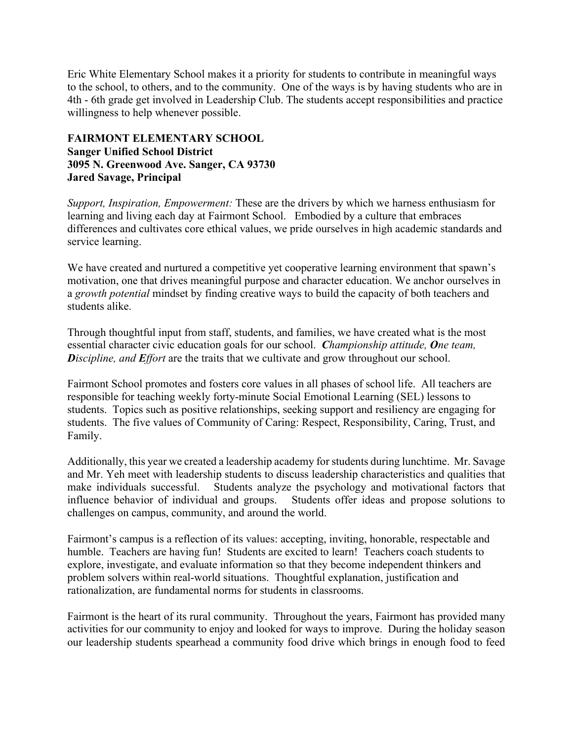Eric White Elementary School makes it a priority for students to contribute in meaningful ways to the school, to others, and to the community. One of the ways is by having students who are in 4th - 6th grade get involved in Leadership Club. The students accept responsibilities and practice willingness to help whenever possible.

#### **FAIRMONT ELEMENTARY SCHOOL Sanger Unified School District 3095 N. Greenwood Ave. Sanger, CA 93730 Jared Savage, Principal**

*Support, Inspiration, Empowerment:* These are the drivers by which we harness enthusiasm for learning and living each day at Fairmont School. Embodied by a culture that embraces differences and cultivates core ethical values, we pride ourselves in high academic standards and service learning.

We have created and nurtured a competitive yet cooperative learning environment that spawn's motivation, one that drives meaningful purpose and character education. We anchor ourselves in a *growth potential* mindset by finding creative ways to build the capacity of both teachers and students alike.

Through thoughtful input from staff, students, and families, we have created what is the most essential character civic education goals for our school. *Championship attitude, One team, Discipline, and Effort* are the traits that we cultivate and grow throughout our school.

Fairmont School promotes and fosters core values in all phases of school life. All teachers are responsible for teaching weekly forty-minute Social Emotional Learning (SEL) lessons to students. Topics such as positive relationships, seeking support and resiliency are engaging for students. The five values of Community of Caring: Respect, Responsibility, Caring, Trust, and Family.

Additionally, this year we created a leadership academy for students during lunchtime. Mr. Savage and Mr. Yeh meet with leadership students to discuss leadership characteristics and qualities that make individuals successful. Students analyze the psychology and motivational factors that influence behavior of individual and groups. Students offer ideas and propose solutions to challenges on campus, community, and around the world.

Fairmont's campus is a reflection of its values: accepting, inviting, honorable, respectable and humble. Teachers are having fun! Students are excited to learn! Teachers coach students to explore, investigate, and evaluate information so that they become independent thinkers and problem solvers within real-world situations. Thoughtful explanation, justification and rationalization, are fundamental norms for students in classrooms.

Fairmont is the heart of its rural community. Throughout the years, Fairmont has provided many activities for our community to enjoy and looked for ways to improve. During the holiday season our leadership students spearhead a community food drive which brings in enough food to feed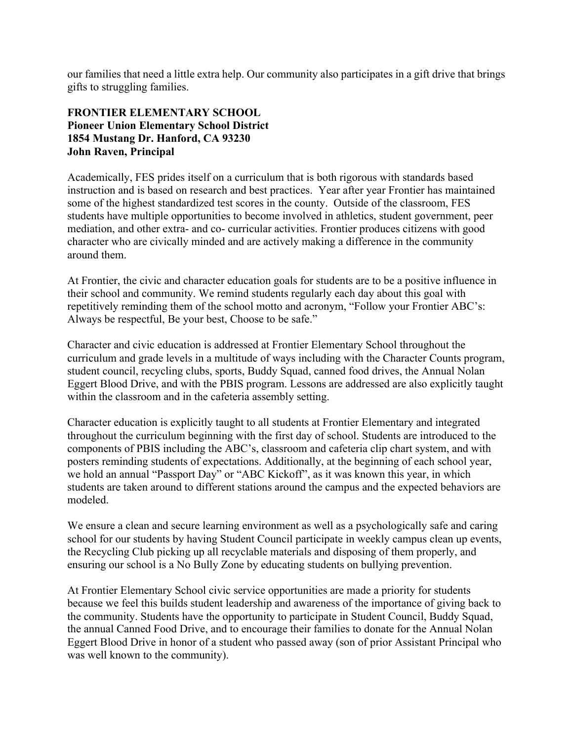our families that need a little extra help. Our community also participates in a gift drive that brings gifts to struggling families.

#### **FRONTIER ELEMENTARY SCHOOL Pioneer Union Elementary School District 1854 Mustang Dr. Hanford, CA 93230 John Raven, Principal**

Academically, FES prides itself on a curriculum that is both rigorous with standards based instruction and is based on research and best practices. Year after year Frontier has maintained some of the highest standardized test scores in the county. Outside of the classroom, FES students have multiple opportunities to become involved in athletics, student government, peer mediation, and other extra- and co- curricular activities. Frontier produces citizens with good character who are civically minded and are actively making a difference in the community around them.

At Frontier, the civic and character education goals for students are to be a positive influence in their school and community. We remind students regularly each day about this goal with repetitively reminding them of the school motto and acronym, "Follow your Frontier ABC's: Always be respectful, Be your best, Choose to be safe."

Character and civic education is addressed at Frontier Elementary School throughout the curriculum and grade levels in a multitude of ways including with the Character Counts program, student council, recycling clubs, sports, Buddy Squad, canned food drives, the Annual Nolan Eggert Blood Drive, and with the PBIS program. Lessons are addressed are also explicitly taught within the classroom and in the cafeteria assembly setting.

Character education is explicitly taught to all students at Frontier Elementary and integrated throughout the curriculum beginning with the first day of school. Students are introduced to the components of PBIS including the ABC's, classroom and cafeteria clip chart system, and with posters reminding students of expectations. Additionally, at the beginning of each school year, we hold an annual "Passport Day" or "ABC Kickoff", as it was known this year, in which students are taken around to different stations around the campus and the expected behaviors are modeled.

We ensure a clean and secure learning environment as well as a psychologically safe and caring school for our students by having Student Council participate in weekly campus clean up events, the Recycling Club picking up all recyclable materials and disposing of them properly, and ensuring our school is a No Bully Zone by educating students on bullying prevention.

At Frontier Elementary School civic service opportunities are made a priority for students because we feel this builds student leadership and awareness of the importance of giving back to the community. Students have the opportunity to participate in Student Council, Buddy Squad, the annual Canned Food Drive, and to encourage their families to donate for the Annual Nolan Eggert Blood Drive in honor of a student who passed away (son of prior Assistant Principal who was well known to the community).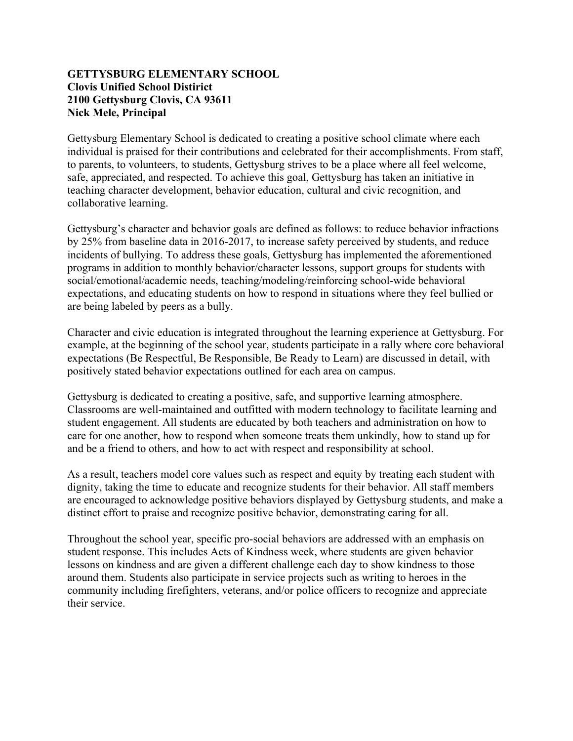#### **GETTYSBURG ELEMENTARY SCHOOL Clovis Unified School Distirict 2100 Gettysburg Clovis, CA 93611 Nick Mele, Principal**

Gettysburg Elementary School is dedicated to creating a positive school climate where each individual is praised for their contributions and celebrated for their accomplishments. From staff, to parents, to volunteers, to students, Gettysburg strives to be a place where all feel welcome, safe, appreciated, and respected. To achieve this goal, Gettysburg has taken an initiative in teaching character development, behavior education, cultural and civic recognition, and collaborative learning.

Gettysburg's character and behavior goals are defined as follows: to reduce behavior infractions by 25% from baseline data in 2016-2017, to increase safety perceived by students, and reduce incidents of bullying. To address these goals, Gettysburg has implemented the aforementioned programs in addition to monthly behavior/character lessons, support groups for students with social/emotional/academic needs, teaching/modeling/reinforcing school-wide behavioral expectations, and educating students on how to respond in situations where they feel bullied or are being labeled by peers as a bully.

Character and civic education is integrated throughout the learning experience at Gettysburg. For example, at the beginning of the school year, students participate in a rally where core behavioral expectations (Be Respectful, Be Responsible, Be Ready to Learn) are discussed in detail, with positively stated behavior expectations outlined for each area on campus.

Gettysburg is dedicated to creating a positive, safe, and supportive learning atmosphere. Classrooms are well-maintained and outfitted with modern technology to facilitate learning and student engagement. All students are educated by both teachers and administration on how to care for one another, how to respond when someone treats them unkindly, how to stand up for and be a friend to others, and how to act with respect and responsibility at school.

As a result, teachers model core values such as respect and equity by treating each student with dignity, taking the time to educate and recognize students for their behavior. All staff members are encouraged to acknowledge positive behaviors displayed by Gettysburg students, and make a distinct effort to praise and recognize positive behavior, demonstrating caring for all.

Throughout the school year, specific pro-social behaviors are addressed with an emphasis on student response. This includes Acts of Kindness week, where students are given behavior lessons on kindness and are given a different challenge each day to show kindness to those around them. Students also participate in service projects such as writing to heroes in the community including firefighters, veterans, and/or police officers to recognize and appreciate their service.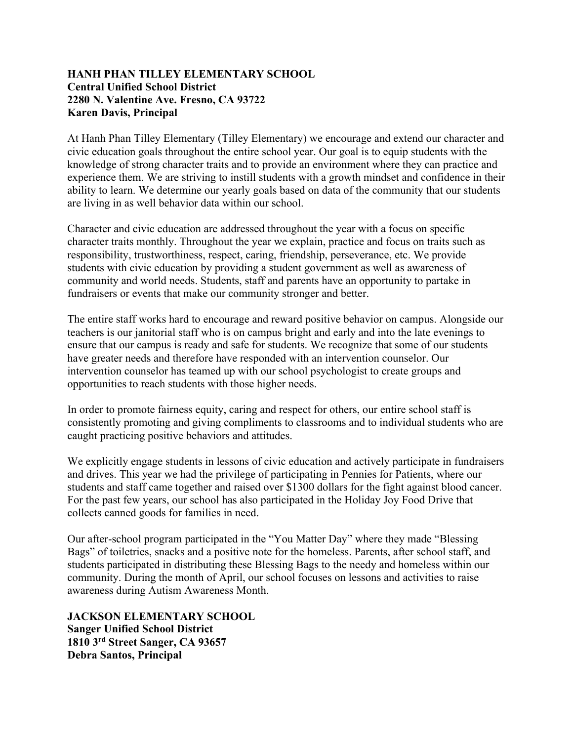#### **HANH PHAN TILLEY ELEMENTARY SCHOOL Central Unified School District 2280 N. Valentine Ave. Fresno, CA 93722 Karen Davis, Principal**

At Hanh Phan Tilley Elementary (Tilley Elementary) we encourage and extend our character and civic education goals throughout the entire school year. Our goal is to equip students with the knowledge of strong character traits and to provide an environment where they can practice and experience them. We are striving to instill students with a growth mindset and confidence in their ability to learn. We determine our yearly goals based on data of the community that our students are living in as well behavior data within our school.

Character and civic education are addressed throughout the year with a focus on specific character traits monthly. Throughout the year we explain, practice and focus on traits such as responsibility, trustworthiness, respect, caring, friendship, perseverance, etc. We provide students with civic education by providing a student government as well as awareness of community and world needs. Students, staff and parents have an opportunity to partake in fundraisers or events that make our community stronger and better.

The entire staff works hard to encourage and reward positive behavior on campus. Alongside our teachers is our janitorial staff who is on campus bright and early and into the late evenings to ensure that our campus is ready and safe for students. We recognize that some of our students have greater needs and therefore have responded with an intervention counselor. Our intervention counselor has teamed up with our school psychologist to create groups and opportunities to reach students with those higher needs.

In order to promote fairness equity, caring and respect for others, our entire school staff is consistently promoting and giving compliments to classrooms and to individual students who are caught practicing positive behaviors and attitudes.

We explicitly engage students in lessons of civic education and actively participate in fundraisers and drives. This year we had the privilege of participating in Pennies for Patients, where our students and staff came together and raised over \$1300 dollars for the fight against blood cancer. For the past few years, our school has also participated in the Holiday Joy Food Drive that collects canned goods for families in need.

Our after-school program participated in the "You Matter Day" where they made "Blessing Bags" of toiletries, snacks and a positive note for the homeless. Parents, after school staff, and students participated in distributing these Blessing Bags to the needy and homeless within our community. During the month of April, our school focuses on lessons and activities to raise awareness during Autism Awareness Month.

**JACKSON ELEMENTARY SCHOOL Sanger Unified School District 1810 3rd Street Sanger, CA 93657 Debra Santos, Principal**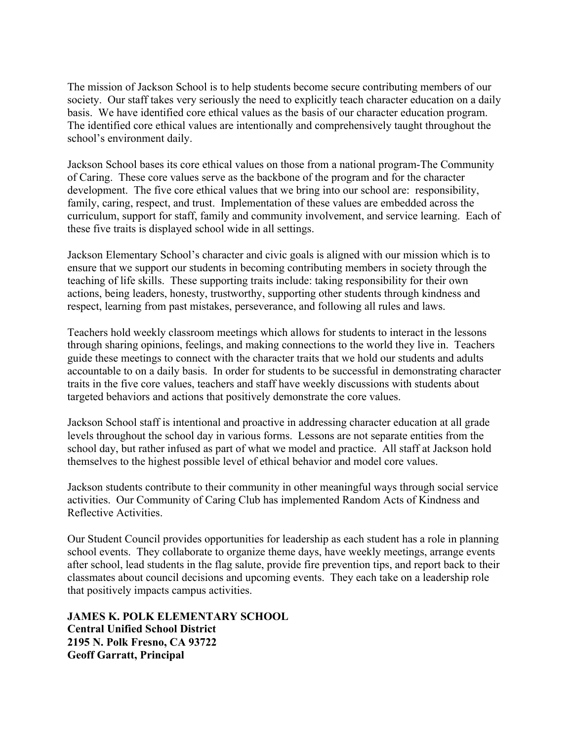The mission of Jackson School is to help students become secure contributing members of our society. Our staff takes very seriously the need to explicitly teach character education on a daily basis. We have identified core ethical values as the basis of our character education program. The identified core ethical values are intentionally and comprehensively taught throughout the school's environment daily.

Jackson School bases its core ethical values on those from a national program-The Community of Caring. These core values serve as the backbone of the program and for the character development. The five core ethical values that we bring into our school are: responsibility, family, caring, respect, and trust. Implementation of these values are embedded across the curriculum, support for staff, family and community involvement, and service learning. Each of these five traits is displayed school wide in all settings.

Jackson Elementary School's character and civic goals is aligned with our mission which is to ensure that we support our students in becoming contributing members in society through the teaching of life skills. These supporting traits include: taking responsibility for their own actions, being leaders, honesty, trustworthy, supporting other students through kindness and respect, learning from past mistakes, perseverance, and following all rules and laws.

Teachers hold weekly classroom meetings which allows for students to interact in the lessons through sharing opinions, feelings, and making connections to the world they live in. Teachers guide these meetings to connect with the character traits that we hold our students and adults accountable to on a daily basis. In order for students to be successful in demonstrating character traits in the five core values, teachers and staff have weekly discussions with students about targeted behaviors and actions that positively demonstrate the core values.

Jackson School staff is intentional and proactive in addressing character education at all grade levels throughout the school day in various forms. Lessons are not separate entities from the school day, but rather infused as part of what we model and practice. All staff at Jackson hold themselves to the highest possible level of ethical behavior and model core values.

Jackson students contribute to their community in other meaningful ways through social service activities. Our Community of Caring Club has implemented Random Acts of Kindness and Reflective Activities.

Our Student Council provides opportunities for leadership as each student has a role in planning school events. They collaborate to organize theme days, have weekly meetings, arrange events after school, lead students in the flag salute, provide fire prevention tips, and report back to their classmates about council decisions and upcoming events. They each take on a leadership role that positively impacts campus activities.

**JAMES K. POLK ELEMENTARY SCHOOL Central Unified School District 2195 N. Polk Fresno, CA 93722 Geoff Garratt, Principal**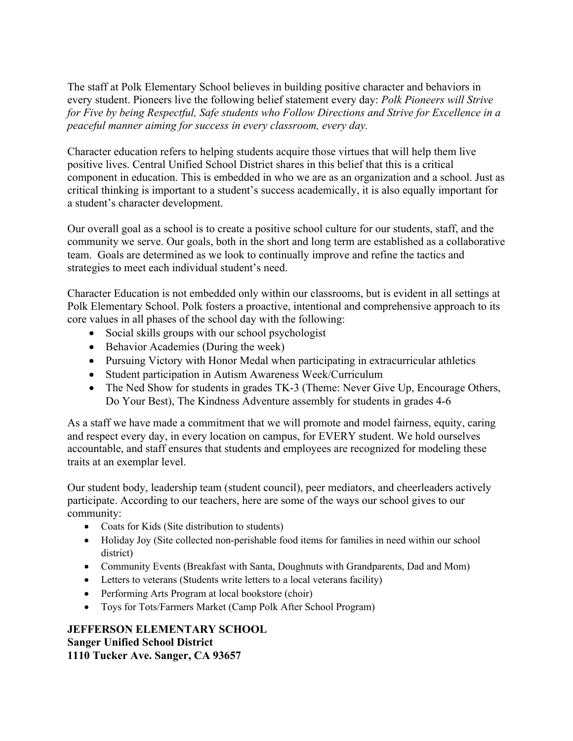The staff at Polk Elementary School believes in building positive character and behaviors in every student. Pioneers live the following belief statement every day: *Polk Pioneers will Strive for Five by being Respectful, Safe students who Follow Directions and Strive for Excellence in a peaceful manner aiming for success in every classroom, every day.*

Character education refers to helping students acquire those virtues that will help them live positive lives. Central Unified School District shares in this belief that this is a critical component in education. This is embedded in who we are as an organization and a school. Just as critical thinking is important to a student's success academically, it is also equally important for a student's character development.

Our overall goal as a school is to create a positive school culture for our students, staff, and the community we serve. Our goals, both in the short and long term are established as a collaborative team. Goals are determined as we look to continually improve and refine the tactics and strategies to meet each individual student's need.

Character Education is not embedded only within our classrooms, but is evident in all settings at Polk Elementary School. Polk fosters a proactive, intentional and comprehensive approach to its core values in all phases of the school day with the following:

- Social skills groups with our school psychologist
- Behavior Academies (During the week)
- Pursuing Victory with Honor Medal when participating in extracurricular athletics
- Student participation in Autism Awareness Week/Curriculum
- The Ned Show for students in grades TK-3 (Theme: Never Give Up, Encourage Others, Do Your Best), The Kindness Adventure assembly for students in grades 4-6

As a staff we have made a commitment that we will promote and model fairness, equity, caring and respect every day, in every location on campus, for EVERY student. We hold ourselves accountable, and staff ensures that students and employees are recognized for modeling these traits at an exemplar level.

Our student body, leadership team (student council), peer mediators, and cheerleaders actively participate. According to our teachers, here are some of the ways our school gives to our community:

- Coats for Kids (Site distribution to students)
- Holiday Joy (Site collected non-perishable food items for families in need within our school district)
- Community Events (Breakfast with Santa, Doughnuts with Grandparents, Dad and Mom)
- Letters to veterans (Students write letters to a local veterans facility)
- Performing Arts Program at local bookstore (choir)
- Toys for Tots/Farmers Market (Camp Polk After School Program)

#### **JEFFERSON ELEMENTARY SCHOOL Sanger Unified School District 1110 Tucker Ave. Sanger, CA 93657**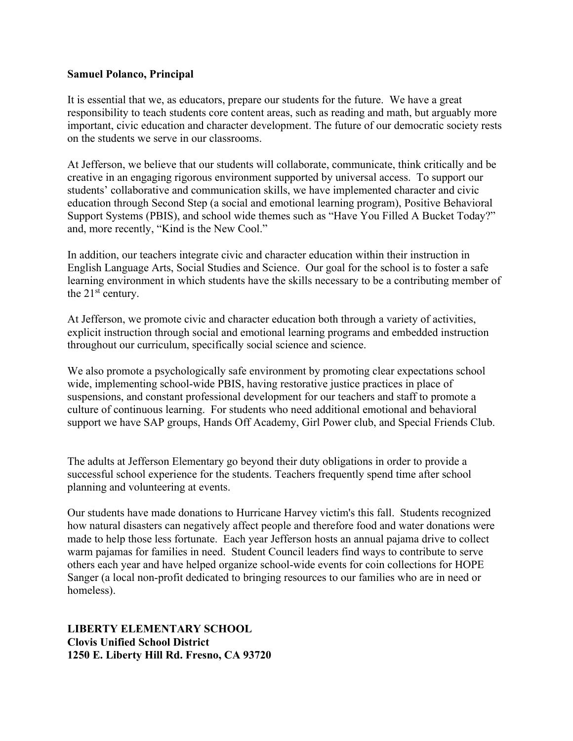#### **Samuel Polanco, Principal**

It is essential that we, as educators, prepare our students for the future. We have a great responsibility to teach students core content areas, such as reading and math, but arguably more important, civic education and character development. The future of our democratic society rests on the students we serve in our classrooms.

At Jefferson, we believe that our students will collaborate, communicate, think critically and be creative in an engaging rigorous environment supported by universal access. To support our students' collaborative and communication skills, we have implemented character and civic education through Second Step (a social and emotional learning program), Positive Behavioral Support Systems (PBIS), and school wide themes such as "Have You Filled A Bucket Today?" and, more recently, "Kind is the New Cool."

In addition, our teachers integrate civic and character education within their instruction in English Language Arts, Social Studies and Science. Our goal for the school is to foster a safe learning environment in which students have the skills necessary to be a contributing member of the 21<sup>st</sup> century.

At Jefferson, we promote civic and character education both through a variety of activities, explicit instruction through social and emotional learning programs and embedded instruction throughout our curriculum, specifically social science and science.

We also promote a psychologically safe environment by promoting clear expectations school wide, implementing school-wide PBIS, having restorative justice practices in place of suspensions, and constant professional development for our teachers and staff to promote a culture of continuous learning. For students who need additional emotional and behavioral support we have SAP groups, Hands Off Academy, Girl Power club, and Special Friends Club.

The adults at Jefferson Elementary go beyond their duty obligations in order to provide a successful school experience for the students. Teachers frequently spend time after school planning and volunteering at events.

Our students have made donations to Hurricane Harvey victim's this fall. Students recognized how natural disasters can negatively affect people and therefore food and water donations were made to help those less fortunate. Each year Jefferson hosts an annual pajama drive to collect warm pajamas for families in need. Student Council leaders find ways to contribute to serve others each year and have helped organize school-wide events for coin collections for HOPE Sanger (a local non-profit dedicated to bringing resources to our families who are in need or homeless).

**LIBERTY ELEMENTARY SCHOOL Clovis Unified School District 1250 E. Liberty Hill Rd. Fresno, CA 93720**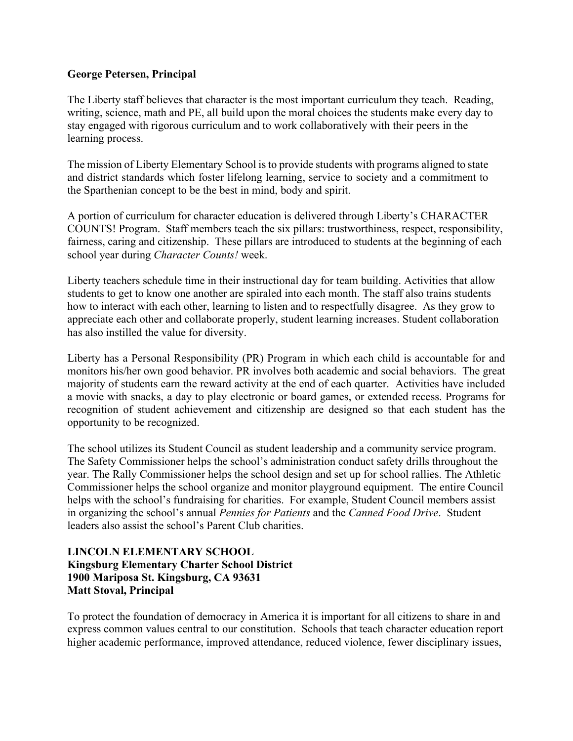#### **George Petersen, Principal**

The Liberty staff believes that character is the most important curriculum they teach. Reading, writing, science, math and PE, all build upon the moral choices the students make every day to stay engaged with rigorous curriculum and to work collaboratively with their peers in the learning process.

The mission of Liberty Elementary School is to provide students with programs aligned to state and district standards which foster lifelong learning, service to society and a commitment to the Sparthenian concept to be the best in mind, body and spirit.

A portion of curriculum for character education is delivered through Liberty's CHARACTER COUNTS! Program. Staff members teach the six pillars: trustworthiness, respect, responsibility, fairness, caring and citizenship. These pillars are introduced to students at the beginning of each school year during *Character Counts!* week.

Liberty teachers schedule time in their instructional day for team building. Activities that allow students to get to know one another are spiraled into each month. The staff also trains students how to interact with each other, learning to listen and to respectfully disagree. As they grow to appreciate each other and collaborate properly, student learning increases. Student collaboration has also instilled the value for diversity.

Liberty has a Personal Responsibility (PR) Program in which each child is accountable for and monitors his/her own good behavior. PR involves both academic and social behaviors. The great majority of students earn the reward activity at the end of each quarter. Activities have included a movie with snacks, a day to play electronic or board games, or extended recess. Programs for recognition of student achievement and citizenship are designed so that each student has the opportunity to be recognized.

The school utilizes its Student Council as student leadership and a community service program. The Safety Commissioner helps the school's administration conduct safety drills throughout the year. The Rally Commissioner helps the school design and set up for school rallies. The Athletic Commissioner helps the school organize and monitor playground equipment. The entire Council helps with the school's fundraising for charities. For example, Student Council members assist in organizing the school's annual *Pennies for Patients* and the *Canned Food Drive*. Student leaders also assist the school's Parent Club charities.

#### **LINCOLN ELEMENTARY SCHOOL Kingsburg Elementary Charter School District 1900 Mariposa St. Kingsburg, CA 93631 Matt Stoval, Principal**

To protect the foundation of democracy in America it is important for all citizens to share in and express common values central to our constitution. Schools that teach character education report higher academic performance, improved attendance, reduced violence, fewer disciplinary issues,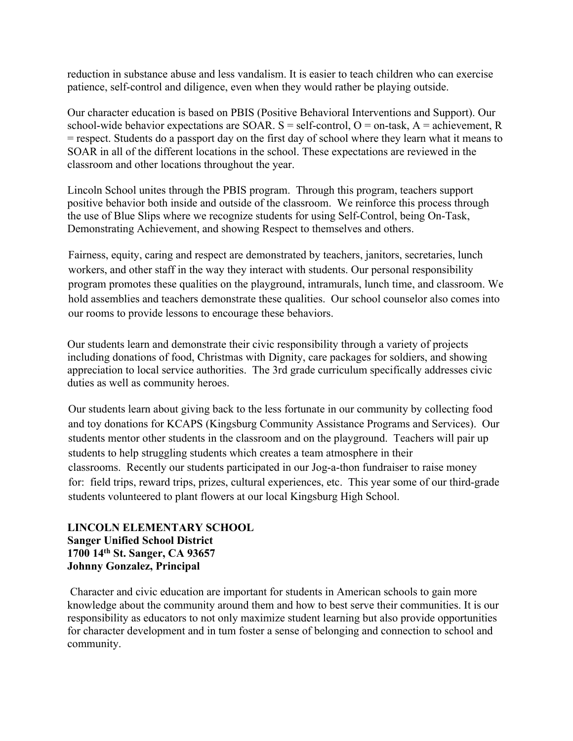reduction in substance abuse and less vandalism. It is easier to teach children who can exercise patience, self-control and diligence, even when they would rather be playing outside.

Our character education is based on PBIS (Positive Behavioral Interventions and Support). Our school-wide behavior expectations are SOAR.  $S =$  self-control,  $O =$  on-task,  $A =$  achievement, R = respect. Students do a passport day on the first day of school where they learn what it means to SOAR in all of the different locations in the school. These expectations are reviewed in the classroom and other locations throughout the year.

Lincoln School unites through the PBIS program. Through this program, teachers support positive behavior both inside and outside of the classroom. We reinforce this process through the use of Blue Slips where we recognize students for using Self-Control, being On-Task, Demonstrating Achievement, and showing Respect to themselves and others.

Fairness, equity, caring and respect are demonstrated by teachers, janitors, secretaries, lunch workers, and other staff in the way they interact with students. Our personal responsibility program promotes these qualities on the playground, intramurals, lunch time, and classroom. We hold assemblies and teachers demonstrate these qualities. Our school counselor also comes into our rooms to provide lessons to encourage these behaviors.

Our students learn and demonstrate their civic responsibility through a variety of projects including donations of food, Christmas with Dignity, care packages for soldiers, and showing appreciation to local service authorities. The 3rd grade curriculum specifically addresses civic duties as well as community heroes.

Our students learn about giving back to the less fortunate in our community by collecting food and toy donations for KCAPS (Kingsburg Community Assistance Programs and Services). Our students mentor other students in the classroom and on the playground. Teachers will pair up students to help struggling students which creates a team atmosphere in their classrooms. Recently our students participated in our Jog-a-thon fundraiser to raise money for: field trips, reward trips, prizes, cultural experiences, etc. This year some of our third-grade students volunteered to plant flowers at our local Kingsburg High School.

#### **LINCOLN ELEMENTARY SCHOOL Sanger Unified School District 1700 14th St. Sanger, CA 93657 Johnny Gonzalez, Principal**

Character and civic education are important for students in American schools to gain more knowledge about the community around them and how to best serve their communities. It is our responsibility as educators to not only maximize student learning but also provide opportunities for character development and in tum foster a sense of belonging and connection to school and community.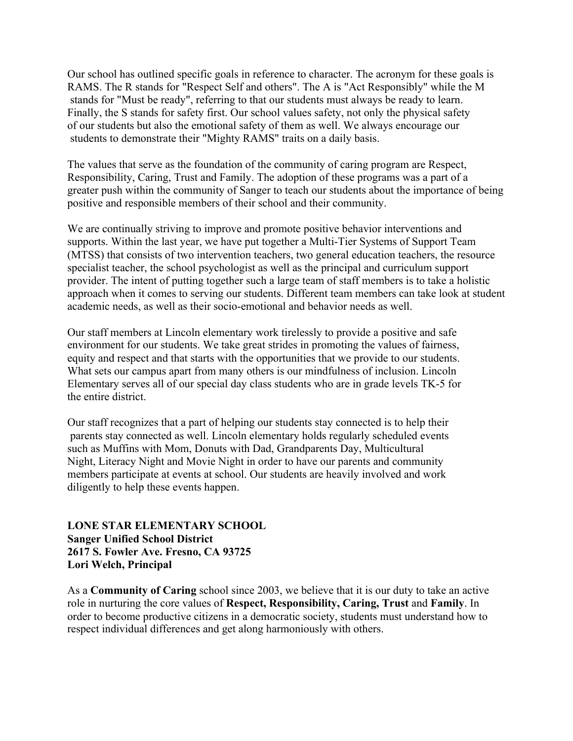Our school has outlined specific goals in reference to character. The acronym for these goals is RAMS. The R stands for "Respect Self and others". The A is "Act Responsibly" while the M stands for "Must be ready", referring to that our students must always be ready to learn. Finally, the S stands for safety first. Our school values safety, not only the physical safety of our students but also the emotional safety of them as well. We always encourage our students to demonstrate their "Mighty RAMS" traits on a daily basis.

The values that serve as the foundation of the community of caring program are Respect, Responsibility, Caring, Trust and Family. The adoption of these programs was a part of a greater push within the community of Sanger to teach our students about the importance of being positive and responsible members of their school and their community.

We are continually striving to improve and promote positive behavior interventions and supports. Within the last year, we have put together a Multi-Tier Systems of Support Team (MTSS) that consists of two intervention teachers, two general education teachers, the resource specialist teacher, the school psychologist as well as the principal and curriculum support provider. The intent of putting together such a large team of staff members is to take a holistic approach when it comes to serving our students. Different team members can take look at student academic needs, as well as their socio-emotional and behavior needs as well.

Our staff members at Lincoln elementary work tirelessly to provide a positive and safe environment for our students. We take great strides in promoting the values of fairness, equity and respect and that starts with the opportunities that we provide to our students. What sets our campus apart from many others is our mindfulness of inclusion. Lincoln Elementary serves all of our special day class students who are in grade levels TK-5 for the entire district.

Our staff recognizes that a part of helping our students stay connected is to help their parents stay connected as well. Lincoln elementary holds regularly scheduled events such as Muffins with Mom, Donuts with Dad, Grandparents Day, Multicultural Night, Literacy Night and Movie Night in order to have our parents and community members participate at events at school. Our students are heavily involved and work diligently to help these events happen.

**LONE STAR ELEMENTARY SCHOOL Sanger Unified School District 2617 S. Fowler Ave. Fresno, CA 93725 Lori Welch, Principal**

As a **Community of Caring** school since 2003, we believe that it is our duty to take an active role in nurturing the core values of **Respect, Responsibility, Caring, Trust** and **Family**. In order to become productive citizens in a democratic society, students must understand how to respect individual differences and get along harmoniously with others.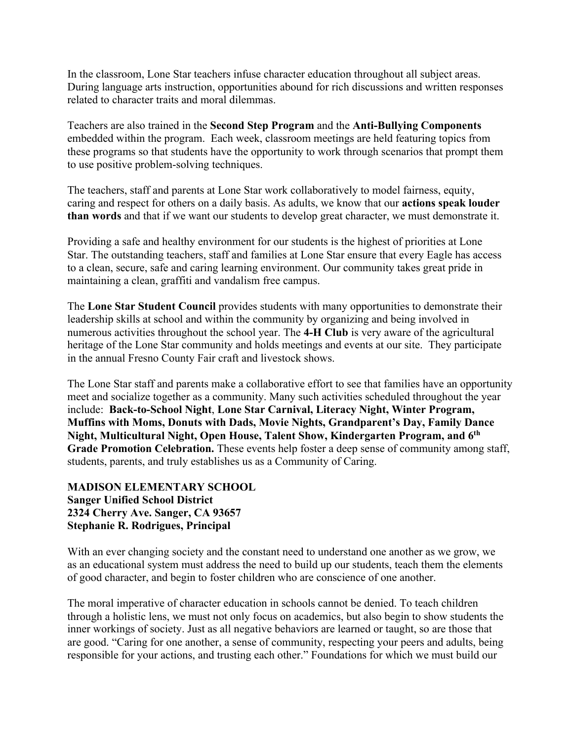In the classroom, Lone Star teachers infuse character education throughout all subject areas. During language arts instruction, opportunities abound for rich discussions and written responses related to character traits and moral dilemmas.

Teachers are also trained in the **Second Step Program** and the **Anti-Bullying Components** embedded within the program. Each week, classroom meetings are held featuring topics from these programs so that students have the opportunity to work through scenarios that prompt them to use positive problem-solving techniques.

The teachers, staff and parents at Lone Star work collaboratively to model fairness, equity, caring and respect for others on a daily basis. As adults, we know that our **actions speak louder than words** and that if we want our students to develop great character, we must demonstrate it.

Providing a safe and healthy environment for our students is the highest of priorities at Lone Star. The outstanding teachers, staff and families at Lone Star ensure that every Eagle has access to a clean, secure, safe and caring learning environment. Our community takes great pride in maintaining a clean, graffiti and vandalism free campus.

The **Lone Star Student Council** provides students with many opportunities to demonstrate their leadership skills at school and within the community by organizing and being involved in numerous activities throughout the school year. The **4-H Club** is very aware of the agricultural heritage of the Lone Star community and holds meetings and events at our site. They participate in the annual Fresno County Fair craft and livestock shows.

The Lone Star staff and parents make a collaborative effort to see that families have an opportunity meet and socialize together as a community. Many such activities scheduled throughout the year include: **Back-to-School Night**, **Lone Star Carnival, Literacy Night, Winter Program, Muffins with Moms, Donuts with Dads, Movie Nights, Grandparent's Day, Family Dance Night, Multicultural Night, Open House, Talent Show, Kindergarten Program, and 6th Grade Promotion Celebration.** These events help foster a deep sense of community among staff, students, parents, and truly establishes us as a Community of Caring.

#### **MADISON ELEMENTARY SCHOOL Sanger Unified School District 2324 Cherry Ave. Sanger, CA 93657 Stephanie R. Rodrigues, Principal**

With an ever changing society and the constant need to understand one another as we grow, we as an educational system must address the need to build up our students, teach them the elements of good character, and begin to foster children who are conscience of one another.

The moral imperative of character education in schools cannot be denied. To teach children through a holistic lens, we must not only focus on academics, but also begin to show students the inner workings of society. Just as all negative behaviors are learned or taught, so are those that are good. "Caring for one another, a sense of community, respecting your peers and adults, being responsible for your actions, and trusting each other." Foundations for which we must build our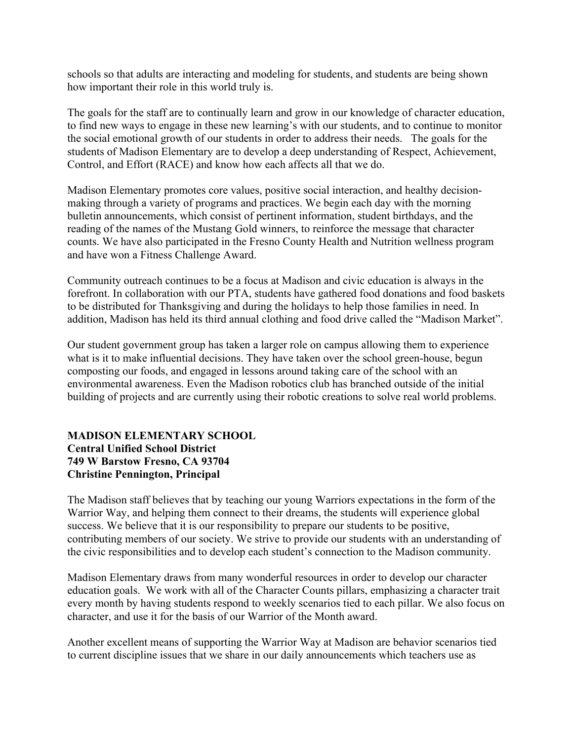schools so that adults are interacting and modeling for students, and students are being shown how important their role in this world truly is.

The goals for the staff are to continually learn and grow in our knowledge of character education, to find new ways to engage in these new learning's with our students, and to continue to monitor the social emotional growth of our students in order to address their needs. The goals for the students of Madison Elementary are to develop a deep understanding of Respect, Achievement, Control, and Effort (RACE) and know how each affects all that we do.

Madison Elementary promotes core values, positive social interaction, and healthy decisionmaking through a variety of programs and practices. We begin each day with the morning bulletin announcements, which consist of pertinent information, student birthdays, and the reading of the names of the Mustang Gold winners, to reinforce the message that character counts. We have also participated in the Fresno County Health and Nutrition wellness program and have won a Fitness Challenge Award.

Community outreach continues to be a focus at Madison and civic education is always in the forefront. In collaboration with our PTA, students have gathered food donations and food baskets to be distributed for Thanksgiving and during the holidays to help those families in need. In addition, Madison has held its third annual clothing and food drive called the "Madison Market".

Our student government group has taken a larger role on campus allowing them to experience what is it to make influential decisions. They have taken over the school green-house, begun composting our foods, and engaged in lessons around taking care of the school with an environmental awareness. Even the Madison robotics club has branched outside of the initial building of projects and are currently using their robotic creations to solve real world problems.

#### **MADISON ELEMENTARY SCHOOL Central Unified School District 749 W Barstow Fresno, CA 93704 Christine Pennington, Principal**

The Madison staff believes that by teaching our young Warriors expectations in the form of the Warrior Way, and helping them connect to their dreams, the students will experience global success. We believe that it is our responsibility to prepare our students to be positive, contributing members of our society. We strive to provide our students with an understanding of the civic responsibilities and to develop each student's connection to the Madison community.

Madison Elementary draws from many wonderful resources in order to develop our character education goals. We work with all of the Character Counts pillars, emphasizing a character trait every month by having students respond to weekly scenarios tied to each pillar. We also focus on character, and use it for the basis of our Warrior of the Month award.

Another excellent means of supporting the Warrior Way at Madison are behavior scenarios tied to current discipline issues that we share in our daily announcements which teachers use as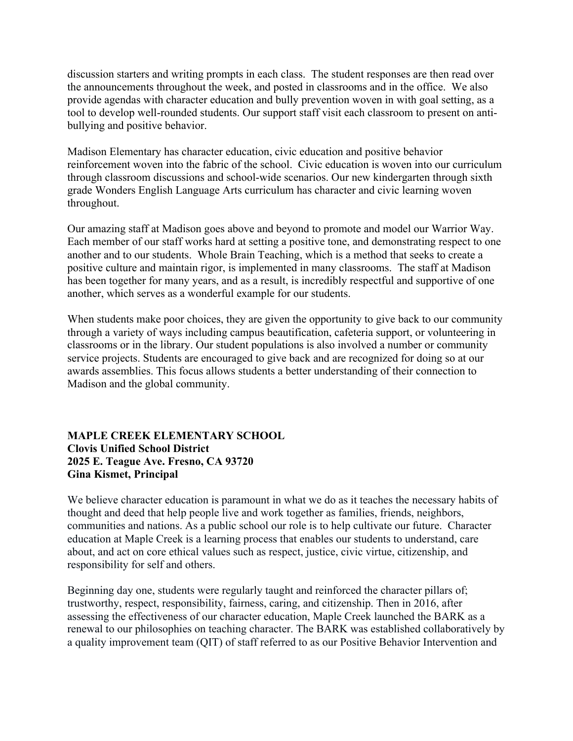discussion starters and writing prompts in each class. The student responses are then read over the announcements throughout the week, and posted in classrooms and in the office. We also provide agendas with character education and bully prevention woven in with goal setting, as a tool to develop well-rounded students. Our support staff visit each classroom to present on antibullying and positive behavior.

Madison Elementary has character education, civic education and positive behavior reinforcement woven into the fabric of the school. Civic education is woven into our curriculum through classroom discussions and school-wide scenarios. Our new kindergarten through sixth grade Wonders English Language Arts curriculum has character and civic learning woven throughout.

Our amazing staff at Madison goes above and beyond to promote and model our Warrior Way. Each member of our staff works hard at setting a positive tone, and demonstrating respect to one another and to our students. Whole Brain Teaching, which is a method that seeks to create a positive culture and maintain rigor, is implemented in many classrooms. The staff at Madison has been together for many years, and as a result, is incredibly respectful and supportive of one another, which serves as a wonderful example for our students.

When students make poor choices, they are given the opportunity to give back to our community through a variety of ways including campus beautification, cafeteria support, or volunteering in classrooms or in the library. Our student populations is also involved a number or community service projects. Students are encouraged to give back and are recognized for doing so at our awards assemblies. This focus allows students a better understanding of their connection to Madison and the global community.

#### **MAPLE CREEK ELEMENTARY SCHOOL Clovis Unified School District 2025 E. Teague Ave. Fresno, CA 93720 Gina Kismet, Principal**

We believe character education is paramount in what we do as it teaches the necessary habits of thought and deed that help people live and work together as families, friends, neighbors, communities and nations. As a public school our role is to help cultivate our future. Character education at Maple Creek is a learning process that enables our students to understand, care about, and act on core ethical values such as respect, justice, civic virtue, citizenship, and responsibility for self and others.

Beginning day one, students were regularly taught and reinforced the character pillars of; trustworthy, respect, responsibility, fairness, caring, and citizenship. Then in 2016, after assessing the effectiveness of our character education, Maple Creek launched the BARK as a renewal to our philosophies on teaching character. The BARK was established collaboratively by a quality improvement team (QIT) of staff referred to as our Positive Behavior Intervention and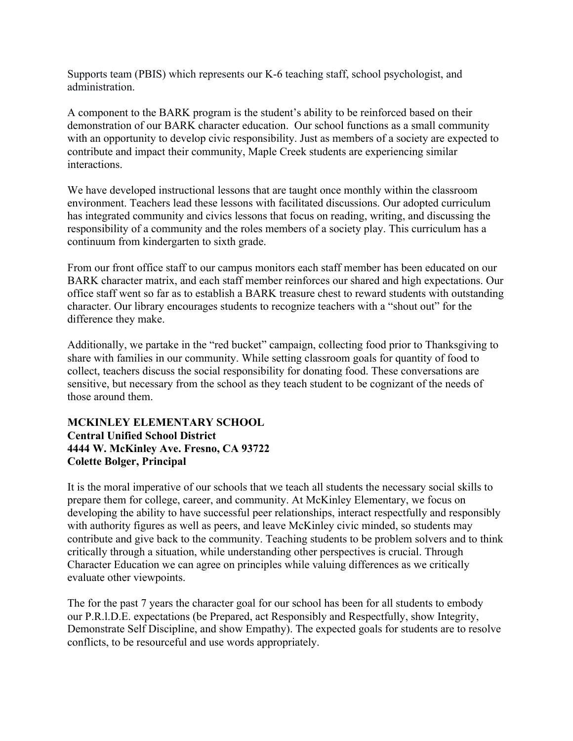Supports team (PBIS) which represents our K-6 teaching staff, school psychologist, and administration.

A component to the BARK program is the student's ability to be reinforced based on their demonstration of our BARK character education. Our school functions as a small community with an opportunity to develop civic responsibility. Just as members of a society are expected to contribute and impact their community, Maple Creek students are experiencing similar interactions.

We have developed instructional lessons that are taught once monthly within the classroom environment. Teachers lead these lessons with facilitated discussions. Our adopted curriculum has integrated community and civics lessons that focus on reading, writing, and discussing the responsibility of a community and the roles members of a society play. This curriculum has a continuum from kindergarten to sixth grade.

From our front office staff to our campus monitors each staff member has been educated on our BARK character matrix, and each staff member reinforces our shared and high expectations. Our office staff went so far as to establish a BARK treasure chest to reward students with outstanding character. Our library encourages students to recognize teachers with a "shout out" for the difference they make.

Additionally, we partake in the "red bucket" campaign, collecting food prior to Thanksgiving to share with families in our community. While setting classroom goals for quantity of food to collect, teachers discuss the social responsibility for donating food. These conversations are sensitive, but necessary from the school as they teach student to be cognizant of the needs of those around them.

#### **MCKINLEY ELEMENTARY SCHOOL Central Unified School District 4444 W. McKinley Ave. Fresno, CA 93722 Colette Bolger, Principal**

It is the moral imperative of our schools that we teach all students the necessary social skills to prepare them for college, career, and community. At McKinley Elementary, we focus on developing the ability to have successful peer relationships, interact respectfully and responsibly with authority figures as well as peers, and leave McKinley civic minded, so students may contribute and give back to the community. Teaching students to be problem solvers and to think critically through a situation, while understanding other perspectives is crucial. Through Character Education we can agree on principles while valuing differences as we critically evaluate other viewpoints.

The for the past 7 years the character goal for our school has been for all students to embody our P.R.l.D.E. expectations (be Prepared, act Responsibly and Respectfully, show Integrity, Demonstrate Self Discipline, and show Empathy). The expected goals for students are to resolve conflicts, to be resourceful and use words appropriately.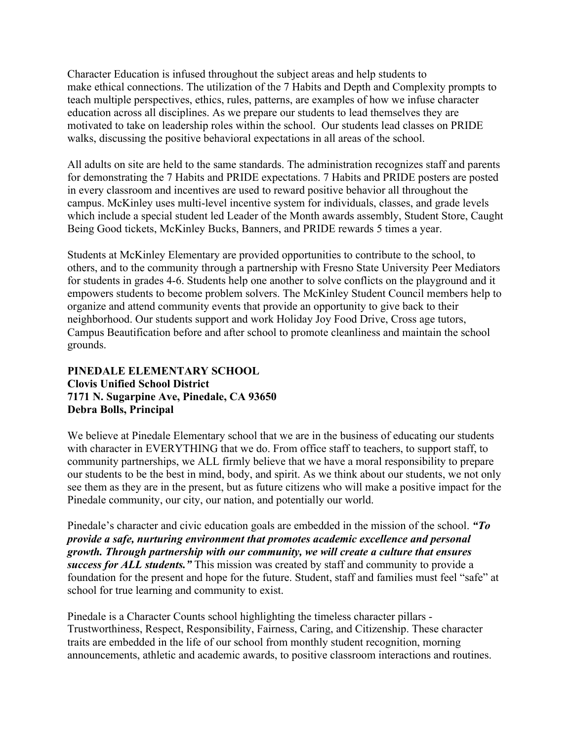Character Education is infused throughout the subject areas and help students to make ethical connections. The utilization of the 7 Habits and Depth and Complexity prompts to teach multiple perspectives, ethics, rules, patterns, are examples of how we infuse character education across all disciplines. As we prepare our students to lead themselves they are motivated to take on leadership roles within the school. Our students lead classes on PRIDE walks, discussing the positive behavioral expectations in all areas of the school.

All adults on site are held to the same standards. The administration recognizes staff and parents for demonstrating the 7 Habits and PRIDE expectations. 7 Habits and PRIDE posters are posted in every classroom and incentives are used to reward positive behavior all throughout the campus. McKinley uses multi-level incentive system for individuals, classes, and grade levels which include a special student led Leader of the Month awards assembly, Student Store, Caught Being Good tickets, McKinley Bucks, Banners, and PRIDE rewards 5 times a year.

Students at McKinley Elementary are provided opportunities to contribute to the school, to others, and to the community through a partnership with Fresno State University Peer Mediators for students in grades 4-6. Students help one another to solve conflicts on the playground and it empowers students to become problem solvers. The McKinley Student Council members help to organize and attend community events that provide an opportunity to give back to their neighborhood. Our students support and work Holiday Joy Food Drive, Cross age tutors, Campus Beautification before and after school to promote cleanliness and maintain the school grounds.

#### **PINEDALE ELEMENTARY SCHOOL Clovis Unified School District 7171 N. Sugarpine Ave, Pinedale, CA 93650 Debra Bolls, Principal**

We believe at Pinedale Elementary school that we are in the business of educating our students with character in EVERYTHING that we do. From office staff to teachers, to support staff, to community partnerships, we ALL firmly believe that we have a moral responsibility to prepare our students to be the best in mind, body, and spirit. As we think about our students, we not only see them as they are in the present, but as future citizens who will make a positive impact for the Pinedale community, our city, our nation, and potentially our world.

Pinedale's character and civic education goals are embedded in the mission of the school. *"To provide a safe, nurturing environment that promotes academic excellence and personal growth. Through partnership with our community, we will create a culture that ensures success for ALL students."* This mission was created by staff and community to provide a foundation for the present and hope for the future. Student, staff and families must feel "safe" at school for true learning and community to exist.

Pinedale is a Character Counts school highlighting the timeless character pillars - Trustworthiness, Respect, Responsibility, Fairness, Caring, and Citizenship. These character traits are embedded in the life of our school from monthly student recognition, morning announcements, athletic and academic awards, to positive classroom interactions and routines.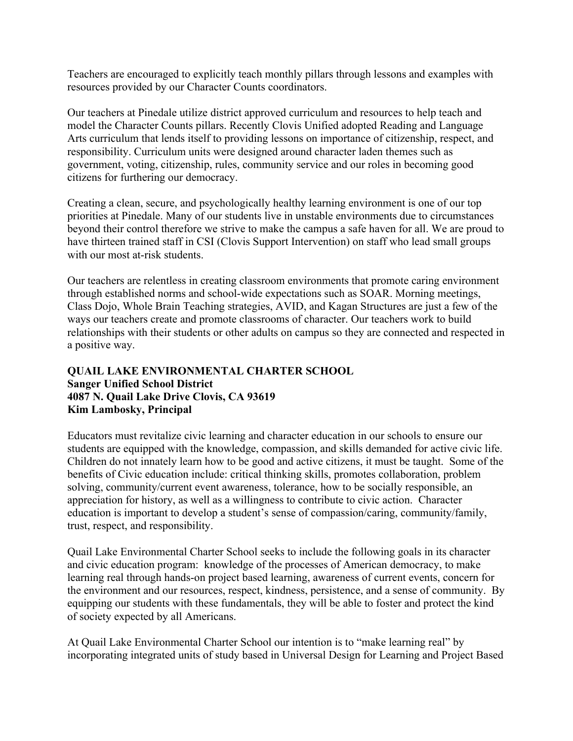Teachers are encouraged to explicitly teach monthly pillars through lessons and examples with resources provided by our Character Counts coordinators.

Our teachers at Pinedale utilize district approved curriculum and resources to help teach and model the Character Counts pillars. Recently Clovis Unified adopted Reading and Language Arts curriculum that lends itself to providing lessons on importance of citizenship, respect, and responsibility. Curriculum units were designed around character laden themes such as government, voting, citizenship, rules, community service and our roles in becoming good citizens for furthering our democracy.

Creating a clean, secure, and psychologically healthy learning environment is one of our top priorities at Pinedale. Many of our students live in unstable environments due to circumstances beyond their control therefore we strive to make the campus a safe haven for all. We are proud to have thirteen trained staff in CSI (Clovis Support Intervention) on staff who lead small groups with our most at-risk students.

Our teachers are relentless in creating classroom environments that promote caring environment through established norms and school-wide expectations such as SOAR. Morning meetings, Class Dojo, Whole Brain Teaching strategies, AVID, and Kagan Structures are just a few of the ways our teachers create and promote classrooms of character. Our teachers work to build relationships with their students or other adults on campus so they are connected and respected in a positive way.

#### **QUAIL LAKE ENVIRONMENTAL CHARTER SCHOOL Sanger Unified School District 4087 N. Quail Lake Drive Clovis, CA 93619 Kim Lambosky, Principal**

Educators must revitalize civic learning and character education in our schools to ensure our students are equipped with the knowledge, compassion, and skills demanded for active civic life. Children do not innately learn how to be good and active citizens, it must be taught. Some of the benefits of Civic education include: critical thinking skills, promotes collaboration, problem solving, community/current event awareness, tolerance, how to be socially responsible, an appreciation for history, as well as a willingness to contribute to civic action. Character education is important to develop a student's sense of compassion/caring, community/family, trust, respect, and responsibility.

Quail Lake Environmental Charter School seeks to include the following goals in its character and civic education program: knowledge of the processes of American democracy, to make learning real through hands-on project based learning, awareness of current events, concern for the environment and our resources, respect, kindness, persistence, and a sense of community. By equipping our students with these fundamentals, they will be able to foster and protect the kind of society expected by all Americans.

At Quail Lake Environmental Charter School our intention is to "make learning real" by incorporating integrated units of study based in Universal Design for Learning and Project Based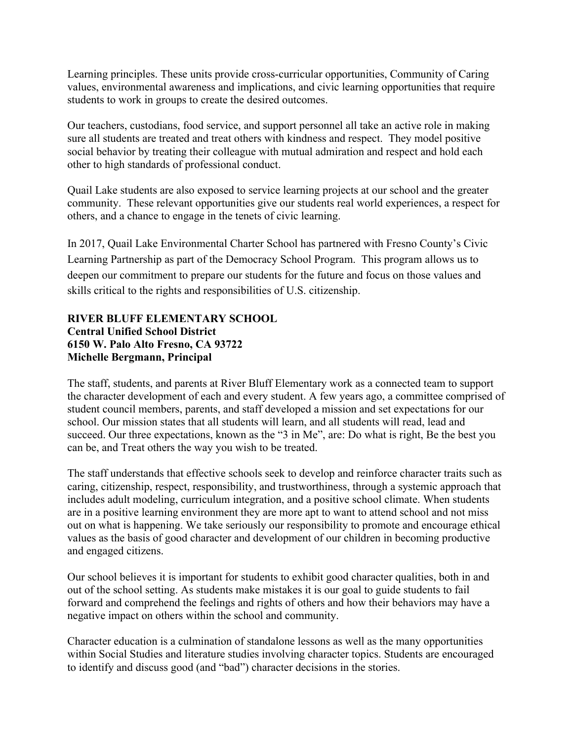Learning principles. These units provide cross-curricular opportunities, Community of Caring values, environmental awareness and implications, and civic learning opportunities that require students to work in groups to create the desired outcomes.

Our teachers, custodians, food service, and support personnel all take an active role in making sure all students are treated and treat others with kindness and respect. They model positive social behavior by treating their colleague with mutual admiration and respect and hold each other to high standards of professional conduct.

Quail Lake students are also exposed to service learning projects at our school and the greater community. These relevant opportunities give our students real world experiences, a respect for others, and a chance to engage in the tenets of civic learning.

In 2017, Quail Lake Environmental Charter School has partnered with Fresno County's Civic Learning Partnership as part of the Democracy School Program. This program allows us to deepen our commitment to prepare our students for the future and focus on those values and skills critical to the rights and responsibilities of U.S. citizenship.

#### **RIVER BLUFF ELEMENTARY SCHOOL Central Unified School District 6150 W. Palo Alto Fresno, CA 93722 Michelle Bergmann, Principal**

The staff, students, and parents at River Bluff Elementary work as a connected team to support the character development of each and every student. A few years ago, a committee comprised of student council members, parents, and staff developed a mission and set expectations for our school. Our mission states that all students will learn, and all students will read, lead and succeed. Our three expectations, known as the "3 in Me", are: Do what is right, Be the best you can be, and Treat others the way you wish to be treated.

The staff understands that effective schools seek to develop and reinforce character traits such as caring, citizenship, respect, responsibility, and trustworthiness, through a systemic approach that includes adult modeling, curriculum integration, and a positive school climate. When students are in a positive learning environment they are more apt to want to attend school and not miss out on what is happening. We take seriously our responsibility to promote and encourage ethical values as the basis of good character and development of our children in becoming productive and engaged citizens.

Our school believes it is important for students to exhibit good character qualities, both in and out of the school setting. As students make mistakes it is our goal to guide students to fail forward and comprehend the feelings and rights of others and how their behaviors may have a negative impact on others within the school and community.

Character education is a culmination of standalone lessons as well as the many opportunities within Social Studies and literature studies involving character topics. Students are encouraged to identify and discuss good (and "bad") character decisions in the stories.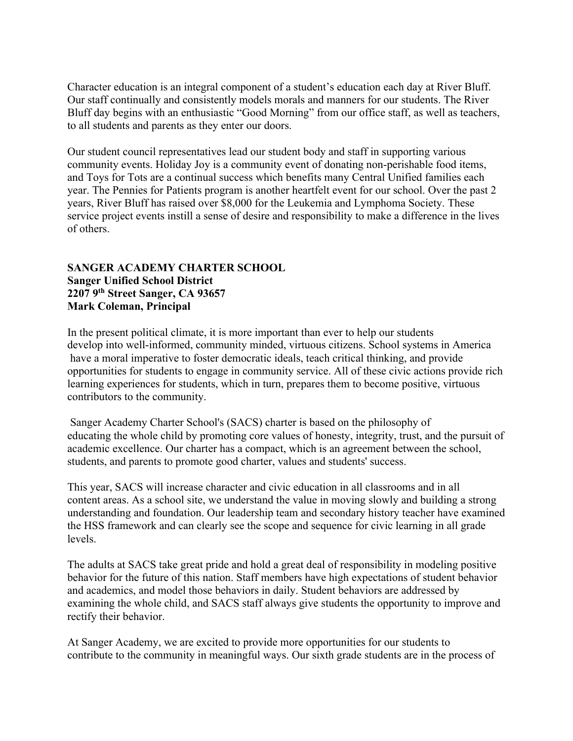Character education is an integral component of a student's education each day at River Bluff. Our staff continually and consistently models morals and manners for our students. The River Bluff day begins with an enthusiastic "Good Morning" from our office staff, as well as teachers, to all students and parents as they enter our doors.

Our student council representatives lead our student body and staff in supporting various community events. Holiday Joy is a community event of donating non-perishable food items, and Toys for Tots are a continual success which benefits many Central Unified families each year. The Pennies for Patients program is another heartfelt event for our school. Over the past 2 years, River Bluff has raised over \$8,000 for the Leukemia and Lymphoma Society. These service project events instill a sense of desire and responsibility to make a difference in the lives of others.

#### **SANGER ACADEMY CHARTER SCHOOL Sanger Unified School District 2207 9th Street Sanger, CA 93657 Mark Coleman, Principal**

In the present political climate, it is more important than ever to help our students develop into well-informed, community minded, virtuous citizens. School systems in America have a moral imperative to foster democratic ideals, teach critical thinking, and provide opportunities for students to engage in community service. All of these civic actions provide rich learning experiences for students, which in turn, prepares them to become positive, virtuous contributors to the community.

Sanger Academy Charter School's (SACS) charter is based on the philosophy of educating the whole child by promoting core values of honesty, integrity, trust, and the pursuit of academic excellence. Our charter has a compact, which is an agreement between the school, students, and parents to promote good charter, values and students' success.

This year, SACS will increase character and civic education in all classrooms and in all content areas. As a school site, we understand the value in moving slowly and building a strong understanding and foundation. Our leadership team and secondary history teacher have examined the HSS framework and can clearly see the scope and sequence for civic learning in all grade levels.

The adults at SACS take great pride and hold a great deal of responsibility in modeling positive behavior for the future of this nation. Staff members have high expectations of student behavior and academics, and model those behaviors in daily. Student behaviors are addressed by examining the whole child, and SACS staff always give students the opportunity to improve and rectify their behavior.

At Sanger Academy, we are excited to provide more opportunities for our students to contribute to the community in meaningful ways. Our sixth grade students are in the process of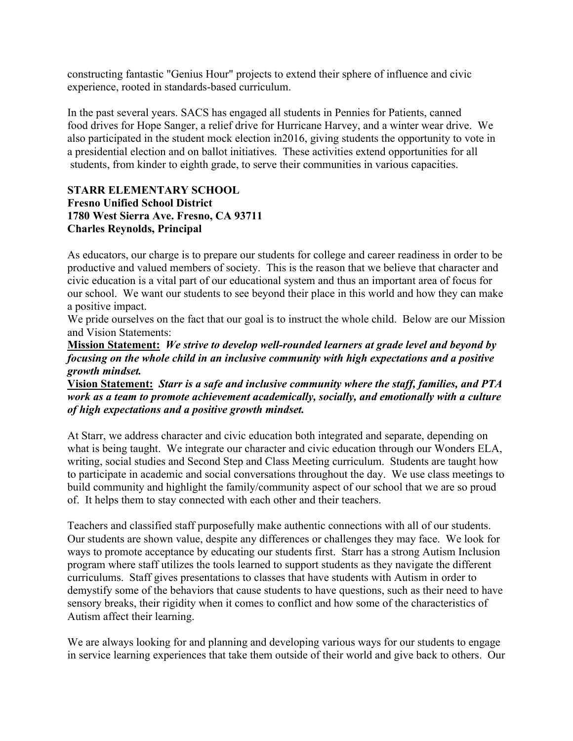constructing fantastic "Genius Hour" projects to extend their sphere of influence and civic experience, rooted in standards-based curriculum.

In the past several years. SACS has engaged all students in Pennies for Patients, canned food drives for Hope Sanger, a relief drive for Hurricane Harvey, and a winter wear drive. We also participated in the student mock election in2016, giving students the opportunity to vote in a presidential election and on ballot initiatives. These activities extend opportunities for all students, from kinder to eighth grade, to serve their communities in various capacities.

#### **STARR ELEMENTARY SCHOOL Fresno Unified School District 1780 West Sierra Ave. Fresno, CA 93711 Charles Reynolds, Principal**

As educators, our charge is to prepare our students for college and career readiness in order to be productive and valued members of society. This is the reason that we believe that character and civic education is a vital part of our educational system and thus an important area of focus for our school. We want our students to see beyond their place in this world and how they can make a positive impact.

We pride ourselves on the fact that our goal is to instruct the whole child. Below are our Mission and Vision Statements:

**Mission Statement:** *We strive to develop well-rounded learners at grade level and beyond by focusing on the whole child in an inclusive community with high expectations and a positive growth mindset.*

**Vision Statement:** *Starr is a safe and inclusive community where the staff, families, and PTA work as a team to promote achievement academically, socially, and emotionally with a culture of high expectations and a positive growth mindset.*

At Starr, we address character and civic education both integrated and separate, depending on what is being taught. We integrate our character and civic education through our Wonders ELA, writing, social studies and Second Step and Class Meeting curriculum. Students are taught how to participate in academic and social conversations throughout the day. We use class meetings to build community and highlight the family/community aspect of our school that we are so proud of. It helps them to stay connected with each other and their teachers.

Teachers and classified staff purposefully make authentic connections with all of our students. Our students are shown value, despite any differences or challenges they may face. We look for ways to promote acceptance by educating our students first. Starr has a strong Autism Inclusion program where staff utilizes the tools learned to support students as they navigate the different curriculums. Staff gives presentations to classes that have students with Autism in order to demystify some of the behaviors that cause students to have questions, such as their need to have sensory breaks, their rigidity when it comes to conflict and how some of the characteristics of Autism affect their learning.

We are always looking for and planning and developing various ways for our students to engage in service learning experiences that take them outside of their world and give back to others. Our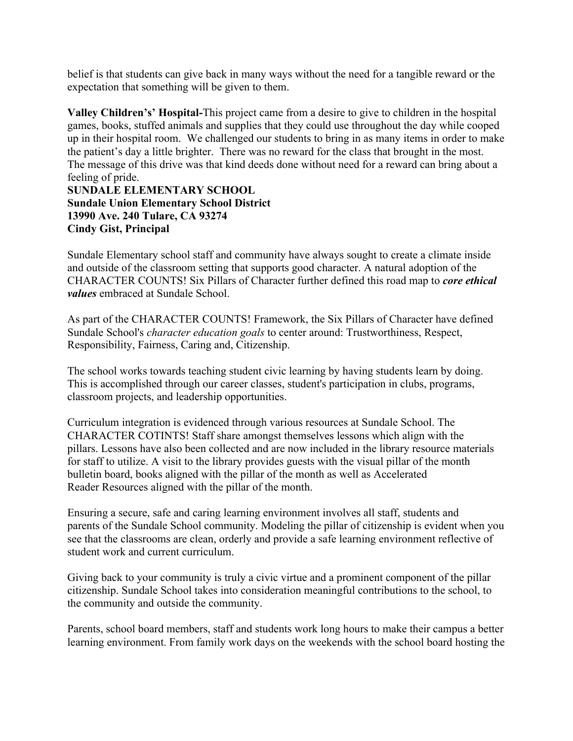belief is that students can give back in many ways without the need for a tangible reward or the expectation that something will be given to them.

**Valley Children's' Hospital-**This project came from a desire to give to children in the hospital games, books, stuffed animals and supplies that they could use throughout the day while cooped up in their hospital room. We challenged our students to bring in as many items in order to make the patient's day a little brighter. There was no reward for the class that brought in the most. The message of this drive was that kind deeds done without need for a reward can bring about a feeling of pride.

**SUNDALE ELEMENTARY SCHOOL Sundale Union Elementary School District 13990 Ave. 240 Tulare, CA 93274 Cindy Gist, Principal**

Sundale Elementary school staff and community have always sought to create a climate inside and outside of the classroom setting that supports good character. A natural adoption of the CHARACTER COUNTS! Six Pillars of Character further defined this road map to *core ethical values* embraced at Sundale School.

As part of the CHARACTER COUNTS! Framework, the Six Pillars of Character have defined Sundale School's *character education goals* to center around: Trustworthiness, Respect, Responsibility, Fairness, Caring and, Citizenship.

The school works towards teaching student civic learning by having students learn by doing. This is accomplished through our career classes, student's participation in clubs, programs, classroom projects, and leadership opportunities.

Curriculum integration is evidenced through various resources at Sundale School. The CHARACTER COTINTS! Staff share amongst themselves lessons which align with the pillars. Lessons have also been collected and are now included in the library resource materials for staff to utilize. A visit to the library provides guests with the visual pillar of the month bulletin board, books aligned with the pillar of the month as well as Accelerated Reader Resources aligned with the pillar of the month.

Ensuring a secure, safe and caring learning environment involves all staff, students and parents of the Sundale School community. Modeling the pillar of citizenship is evident when you see that the classrooms are clean, orderly and provide a safe learning environment reflective of student work and current curriculum.

Giving back to your community is truly a civic virtue and a prominent component of the pillar citizenship. Sundale School takes into consideration meaningful contributions to the school, to the community and outside the community.

Parents, school board members, staff and students work long hours to make their campus a better learning environment. From family work days on the weekends with the school board hosting the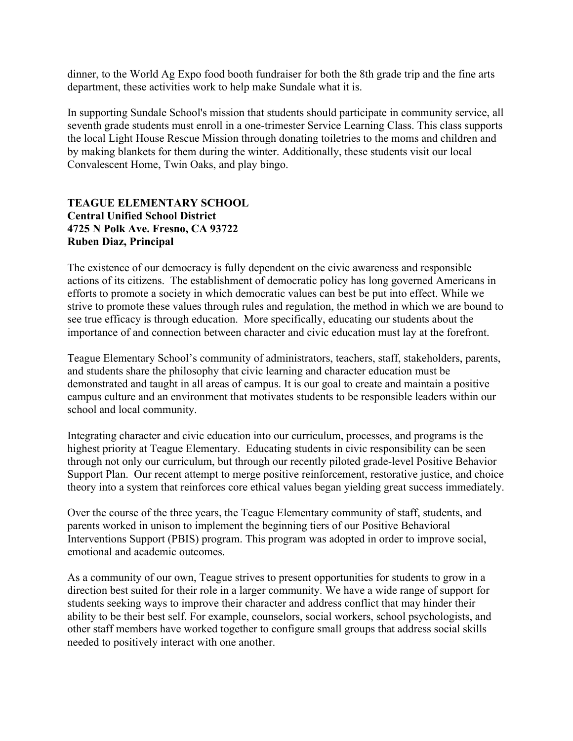dinner, to the World Ag Expo food booth fundraiser for both the 8th grade trip and the fine arts department, these activities work to help make Sundale what it is.

In supporting Sundale School's mission that students should participate in community service, all seventh grade students must enroll in a one-trimester Service Learning Class. This class supports the local Light House Rescue Mission through donating toiletries to the moms and children and by making blankets for them during the winter. Additionally, these students visit our local Convalescent Home, Twin Oaks, and play bingo.

#### **TEAGUE ELEMENTARY SCHOOL Central Unified School District 4725 N Polk Ave. Fresno, CA 93722 Ruben Diaz, Principal**

The existence of our democracy is fully dependent on the civic awareness and responsible actions of its citizens. The establishment of democratic policy has long governed Americans in efforts to promote a society in which democratic values can best be put into effect. While we strive to promote these values through rules and regulation, the method in which we are bound to see true efficacy is through education. More specifically, educating our students about the importance of and connection between character and civic education must lay at the forefront.

Teague Elementary School's community of administrators, teachers, staff, stakeholders, parents, and students share the philosophy that civic learning and character education must be demonstrated and taught in all areas of campus. It is our goal to create and maintain a positive campus culture and an environment that motivates students to be responsible leaders within our school and local community.

Integrating character and civic education into our curriculum, processes, and programs is the highest priority at Teague Elementary. Educating students in civic responsibility can be seen through not only our curriculum, but through our recently piloted grade-level Positive Behavior Support Plan. Our recent attempt to merge positive reinforcement, restorative justice, and choice theory into a system that reinforces core ethical values began yielding great success immediately.

Over the course of the three years, the Teague Elementary community of staff, students, and parents worked in unison to implement the beginning tiers of our Positive Behavioral Interventions Support (PBIS) program. This program was adopted in order to improve social, emotional and academic outcomes.

As a community of our own, Teague strives to present opportunities for students to grow in a direction best suited for their role in a larger community. We have a wide range of support for students seeking ways to improve their character and address conflict that may hinder their ability to be their best self. For example, counselors, social workers, school psychologists, and other staff members have worked together to configure small groups that address social skills needed to positively interact with one another.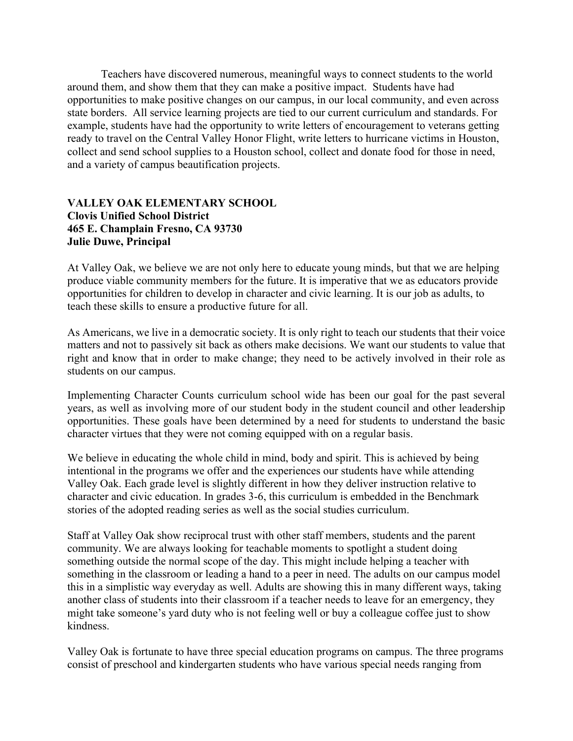Teachers have discovered numerous, meaningful ways to connect students to the world around them, and show them that they can make a positive impact. Students have had opportunities to make positive changes on our campus, in our local community, and even across state borders. All service learning projects are tied to our current curriculum and standards. For example, students have had the opportunity to write letters of encouragement to veterans getting ready to travel on the Central Valley Honor Flight, write letters to hurricane victims in Houston, collect and send school supplies to a Houston school, collect and donate food for those in need, and a variety of campus beautification projects.

#### **VALLEY OAK ELEMENTARY SCHOOL Clovis Unified School District 465 E. Champlain Fresno, CA 93730 Julie Duwe, Principal**

At Valley Oak, we believe we are not only here to educate young minds, but that we are helping produce viable community members for the future. It is imperative that we as educators provide opportunities for children to develop in character and civic learning. It is our job as adults, to teach these skills to ensure a productive future for all.

As Americans, we live in a democratic society. It is only right to teach our students that their voice matters and not to passively sit back as others make decisions. We want our students to value that right and know that in order to make change; they need to be actively involved in their role as students on our campus.

Implementing Character Counts curriculum school wide has been our goal for the past several years, as well as involving more of our student body in the student council and other leadership opportunities. These goals have been determined by a need for students to understand the basic character virtues that they were not coming equipped with on a regular basis.

We believe in educating the whole child in mind, body and spirit. This is achieved by being intentional in the programs we offer and the experiences our students have while attending Valley Oak. Each grade level is slightly different in how they deliver instruction relative to character and civic education. In grades 3-6, this curriculum is embedded in the Benchmark stories of the adopted reading series as well as the social studies curriculum.

Staff at Valley Oak show reciprocal trust with other staff members, students and the parent community. We are always looking for teachable moments to spotlight a student doing something outside the normal scope of the day. This might include helping a teacher with something in the classroom or leading a hand to a peer in need. The adults on our campus model this in a simplistic way everyday as well. Adults are showing this in many different ways, taking another class of students into their classroom if a teacher needs to leave for an emergency, they might take someone's yard duty who is not feeling well or buy a colleague coffee just to show kindness.

Valley Oak is fortunate to have three special education programs on campus. The three programs consist of preschool and kindergarten students who have various special needs ranging from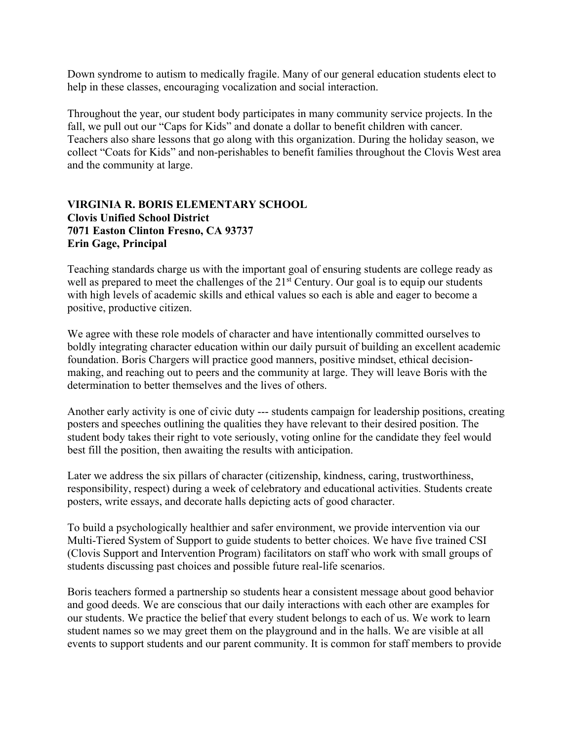Down syndrome to autism to medically fragile. Many of our general education students elect to help in these classes, encouraging vocalization and social interaction.

Throughout the year, our student body participates in many community service projects. In the fall, we pull out our "Caps for Kids" and donate a dollar to benefit children with cancer. Teachers also share lessons that go along with this organization. During the holiday season, we collect "Coats for Kids" and non-perishables to benefit families throughout the Clovis West area and the community at large.

#### **VIRGINIA R. BORIS ELEMENTARY SCHOOL Clovis Unified School District 7071 Easton Clinton Fresno, CA 93737 Erin Gage, Principal**

Teaching standards charge us with the important goal of ensuring students are college ready as well as prepared to meet the challenges of the 21<sup>st</sup> Century. Our goal is to equip our students with high levels of academic skills and ethical values so each is able and eager to become a positive, productive citizen.

We agree with these role models of character and have intentionally committed ourselves to boldly integrating character education within our daily pursuit of building an excellent academic foundation. Boris Chargers will practice good manners, positive mindset, ethical decisionmaking, and reaching out to peers and the community at large. They will leave Boris with the determination to better themselves and the lives of others.

Another early activity is one of civic duty --- students campaign for leadership positions, creating posters and speeches outlining the qualities they have relevant to their desired position. The student body takes their right to vote seriously, voting online for the candidate they feel would best fill the position, then awaiting the results with anticipation.

Later we address the six pillars of character (citizenship, kindness, caring, trustworthiness, responsibility, respect) during a week of celebratory and educational activities. Students create posters, write essays, and decorate halls depicting acts of good character.

To build a psychologically healthier and safer environment, we provide intervention via our Multi-Tiered System of Support to guide students to better choices. We have five trained CSI (Clovis Support and Intervention Program) facilitators on staff who work with small groups of students discussing past choices and possible future real-life scenarios.

Boris teachers formed a partnership so students hear a consistent message about good behavior and good deeds. We are conscious that our daily interactions with each other are examples for our students. We practice the belief that every student belongs to each of us. We work to learn student names so we may greet them on the playground and in the halls. We are visible at all events to support students and our parent community. It is common for staff members to provide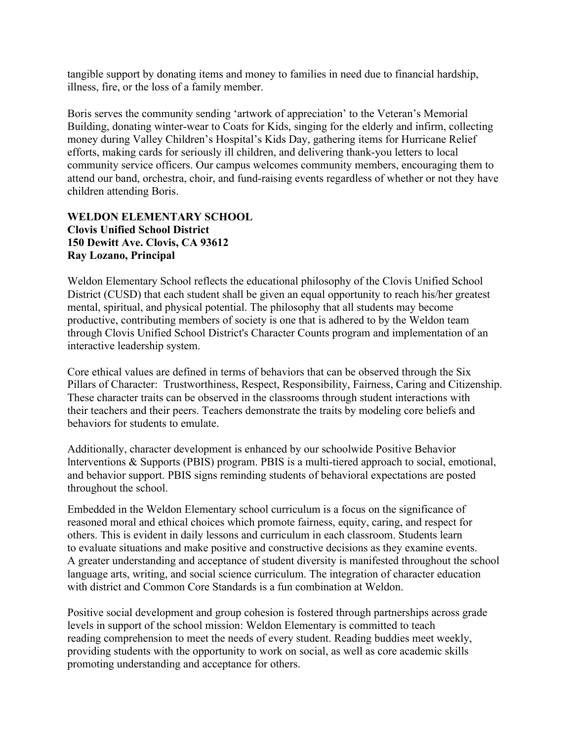tangible support by donating items and money to families in need due to financial hardship, illness, fire, or the loss of a family member.

Boris serves the community sending 'artwork of appreciation' to the Veteran's Memorial Building, donating winter-wear to Coats for Kids, singing for the elderly and infirm, collecting money during Valley Children's Hospital's Kids Day, gathering items for Hurricane Relief efforts, making cards for seriously ill children, and delivering thank-you letters to local community service officers. Our campus welcomes community members, encouraging them to attend our band, orchestra, choir, and fund-raising events regardless of whether or not they have children attending Boris.

#### **WELDON ELEMENTARY SCHOOL Clovis Unified School District 150 Dewitt Ave. Clovis, CA 93612 Ray Lozano, Principal**

Weldon Elementary School reflects the educational philosophy of the Clovis Unified School District (CUSD) that each student shall be given an equal opportunity to reach his/her greatest mental, spiritual, and physical potential. The philosophy that all students may become productive, contributing members of society is one that is adhered to by the Weldon team through Clovis Unified School District's Character Counts program and implementation of an interactive leadership system.

Core ethical values are defined in terms of behaviors that can be observed through the Six Pillars of Character: Trustworthiness, Respect, Responsibility, Fairness, Caring and Citizenship. These character traits can be observed in the classrooms through student interactions with their teachers and their peers. Teachers demonstrate the traits by modeling core beliefs and behaviors for students to emulate.

Additionally, character development is enhanced by our schoolwide Positive Behavior lnterventions & Supports (PBIS) program. PBIS is a multi-tiered approach to social, emotional, and behavior support. PBIS signs reminding students of behavioral expectations are posted throughout the school.

Embedded in the Weldon Elementary school curriculum is a focus on the significance of reasoned moral and ethical choices which promote fairness, equity, caring, and respect for others. This is evident in daily lessons and curriculum in each classroom. Students learn to evaluate situations and make positive and constructive decisions as they examine events. A greater understanding and acceptance of student diversity is manifested throughout the school language arts, writing, and social science curriculum. The integration of character education with district and Common Core Standards is a fun combination at Weldon.

Positive social development and group cohesion is fostered through partnerships across grade levels in support of the school mission: Weldon Elementary is committed to teach reading comprehension to meet the needs of every student. Reading buddies meet weekly, providing students with the opportunity to work on social, as well as core academic skills promoting understanding and acceptance for others.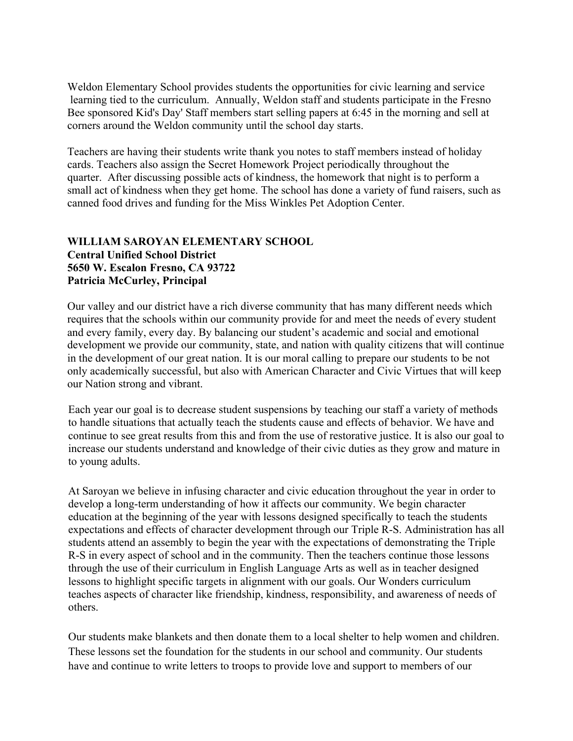Weldon Elementary School provides students the opportunities for civic learning and service learning tied to the curriculum. Annually, Weldon staff and students participate in the Fresno Bee sponsored Kid's Day' Staff members start selling papers at 6:45 in the morning and sell at corners around the Weldon community until the school day starts.

Teachers are having their students write thank you notes to staff members instead of holiday cards. Teachers also assign the Secret Homework Project periodically throughout the quarter. After discussing possible acts of kindness, the homework that night is to perform a small act of kindness when they get home. The school has done a variety of fund raisers, such as canned food drives and funding for the Miss Winkles Pet Adoption Center.

#### **WILLIAM SAROYAN ELEMENTARY SCHOOL Central Unified School District 5650 W. Escalon Fresno, CA 93722 Patricia McCurley, Principal**

Our valley and our district have a rich diverse community that has many different needs which requires that the schools within our community provide for and meet the needs of every student and every family, every day. By balancing our student's academic and social and emotional development we provide our community, state, and nation with quality citizens that will continue in the development of our great nation. It is our moral calling to prepare our students to be not only academically successful, but also with American Character and Civic Virtues that will keep our Nation strong and vibrant.

Each year our goal is to decrease student suspensions by teaching our staff a variety of methods to handle situations that actually teach the students cause and effects of behavior. We have and continue to see great results from this and from the use of restorative justice. It is also our goal to increase our students understand and knowledge of their civic duties as they grow and mature in to young adults.

At Saroyan we believe in infusing character and civic education throughout the year in order to develop a long-term understanding of how it affects our community. We begin character education at the beginning of the year with lessons designed specifically to teach the students expectations and effects of character development through our Triple R-S. Administration has all students attend an assembly to begin the year with the expectations of demonstrating the Triple R-S in every aspect of school and in the community. Then the teachers continue those lessons through the use of their curriculum in English Language Arts as well as in teacher designed lessons to highlight specific targets in alignment with our goals. Our Wonders curriculum teaches aspects of character like friendship, kindness, responsibility, and awareness of needs of others.

Our students make blankets and then donate them to a local shelter to help women and children. These lessons set the foundation for the students in our school and community. Our students have and continue to write letters to troops to provide love and support to members of our